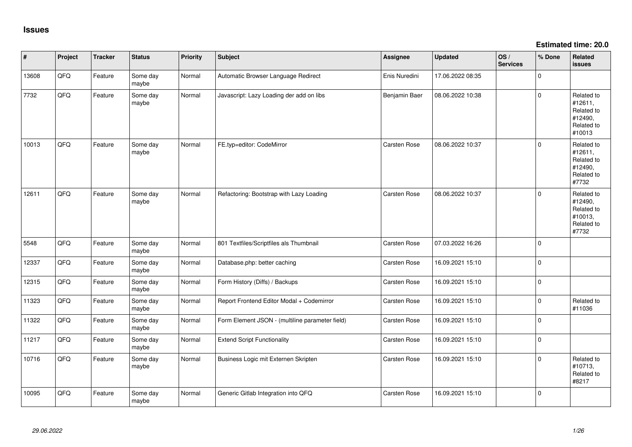**Estimated time: 20.0**

| $\sharp$ | Project | <b>Tracker</b> | <b>Status</b>     | Priority | <b>Subject</b>                                  | Assignee            | <b>Updated</b>   | OS/<br><b>Services</b> | % Done      | Related<br><b>issues</b>                                               |
|----------|---------|----------------|-------------------|----------|-------------------------------------------------|---------------------|------------------|------------------------|-------------|------------------------------------------------------------------------|
| 13608    | QFQ     | Feature        | Some day<br>maybe | Normal   | Automatic Browser Language Redirect             | Enis Nuredini       | 17.06.2022 08:35 |                        | $\mathbf 0$ |                                                                        |
| 7732     | QFQ     | Feature        | Some day<br>maybe | Normal   | Javascript: Lazy Loading der add on libs        | Benjamin Baer       | 08.06.2022 10:38 |                        | $\mathbf 0$ | Related to<br>#12611,<br>Related to<br>#12490,<br>Related to<br>#10013 |
| 10013    | QFQ     | Feature        | Some day<br>maybe | Normal   | FE.typ=editor: CodeMirror                       | Carsten Rose        | 08.06.2022 10:37 |                        | $\mathbf 0$ | Related to<br>#12611,<br>Related to<br>#12490,<br>Related to<br>#7732  |
| 12611    | QFQ     | Feature        | Some day<br>maybe | Normal   | Refactoring: Bootstrap with Lazy Loading        | <b>Carsten Rose</b> | 08.06.2022 10:37 |                        | 0           | Related to<br>#12490,<br>Related to<br>#10013,<br>Related to<br>#7732  |
| 5548     | QFQ     | Feature        | Some day<br>maybe | Normal   | 801 Textfiles/Scriptfiles als Thumbnail         | Carsten Rose        | 07.03.2022 16:26 |                        | $\mathbf 0$ |                                                                        |
| 12337    | QFQ     | Feature        | Some day<br>maybe | Normal   | Database.php: better caching                    | Carsten Rose        | 16.09.2021 15:10 |                        | $\mathbf 0$ |                                                                        |
| 12315    | QFQ     | Feature        | Some day<br>maybe | Normal   | Form History (Diffs) / Backups                  | Carsten Rose        | 16.09.2021 15:10 |                        | $\mathbf 0$ |                                                                        |
| 11323    | QFQ     | Feature        | Some day<br>maybe | Normal   | Report Frontend Editor Modal + Codemirror       | Carsten Rose        | 16.09.2021 15:10 |                        | $\mathbf 0$ | Related to<br>#11036                                                   |
| 11322    | QFQ     | Feature        | Some day<br>maybe | Normal   | Form Element JSON - (multiline parameter field) | Carsten Rose        | 16.09.2021 15:10 |                        | $\mathbf 0$ |                                                                        |
| 11217    | QFQ     | Feature        | Some day<br>maybe | Normal   | <b>Extend Script Functionality</b>              | Carsten Rose        | 16.09.2021 15:10 |                        | $\pmb{0}$   |                                                                        |
| 10716    | QFQ     | Feature        | Some day<br>maybe | Normal   | Business Logic mit Externen Skripten            | Carsten Rose        | 16.09.2021 15:10 |                        | $\pmb{0}$   | Related to<br>#10713,<br>Related to<br>#8217                           |
| 10095    | QFQ     | Feature        | Some day<br>maybe | Normal   | Generic Gitlab Integration into QFQ             | <b>Carsten Rose</b> | 16.09.2021 15:10 |                        | $\mathbf 0$ |                                                                        |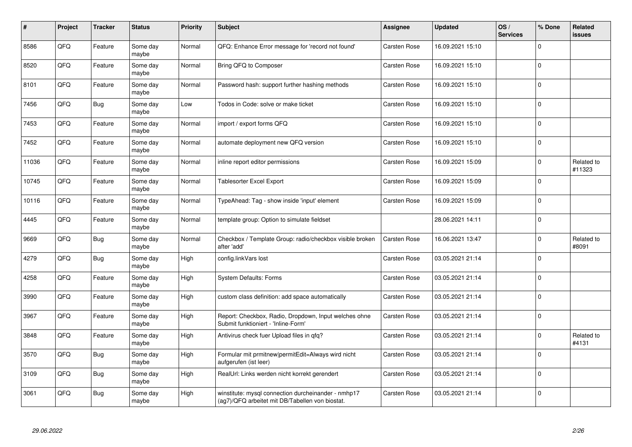| #     | Project | <b>Tracker</b> | <b>Status</b>     | <b>Priority</b> | <b>Subject</b>                                                                                         | <b>Assignee</b>     | <b>Updated</b>   | OS/<br><b>Services</b> | % Done      | Related<br><b>issues</b> |
|-------|---------|----------------|-------------------|-----------------|--------------------------------------------------------------------------------------------------------|---------------------|------------------|------------------------|-------------|--------------------------|
| 8586  | QFQ     | Feature        | Some day<br>maybe | Normal          | QFQ: Enhance Error message for 'record not found'                                                      | <b>Carsten Rose</b> | 16.09.2021 15:10 |                        | $\Omega$    |                          |
| 8520  | QFQ     | Feature        | Some day<br>maybe | Normal          | Bring QFQ to Composer                                                                                  | <b>Carsten Rose</b> | 16.09.2021 15:10 |                        | $\Omega$    |                          |
| 8101  | QFQ     | Feature        | Some day<br>maybe | Normal          | Password hash: support further hashing methods                                                         | <b>Carsten Rose</b> | 16.09.2021 15:10 |                        | $\Omega$    |                          |
| 7456  | QFQ     | Bug            | Some day<br>maybe | Low             | Todos in Code: solve or make ticket                                                                    | <b>Carsten Rose</b> | 16.09.2021 15:10 |                        | $\Omega$    |                          |
| 7453  | QFQ     | Feature        | Some day<br>maybe | Normal          | import / export forms QFQ                                                                              | <b>Carsten Rose</b> | 16.09.2021 15:10 |                        | $\Omega$    |                          |
| 7452  | QFQ     | Feature        | Some day<br>maybe | Normal          | automate deployment new QFQ version                                                                    | <b>Carsten Rose</b> | 16.09.2021 15:10 |                        | $\Omega$    |                          |
| 11036 | QFQ     | Feature        | Some day<br>maybe | Normal          | inline report editor permissions                                                                       | <b>Carsten Rose</b> | 16.09.2021 15:09 |                        | $\Omega$    | Related to<br>#11323     |
| 10745 | QFQ     | Feature        | Some day<br>maybe | Normal          | <b>Tablesorter Excel Export</b>                                                                        | <b>Carsten Rose</b> | 16.09.2021 15:09 |                        | $\Omega$    |                          |
| 10116 | QFQ     | Feature        | Some day<br>maybe | Normal          | TypeAhead: Tag - show inside 'input' element                                                           | <b>Carsten Rose</b> | 16.09.2021 15:09 |                        | $\Omega$    |                          |
| 4445  | QFQ     | Feature        | Some day<br>maybe | Normal          | template group: Option to simulate fieldset                                                            |                     | 28.06.2021 14:11 |                        | $\Omega$    |                          |
| 9669  | QFQ     | Bug            | Some day<br>maybe | Normal          | Checkbox / Template Group: radio/checkbox visible broken<br>after 'add'                                | <b>Carsten Rose</b> | 16.06.2021 13:47 |                        | $\Omega$    | Related to<br>#8091      |
| 4279  | QFQ     | <b>Bug</b>     | Some day<br>maybe | High            | config.linkVars lost                                                                                   | <b>Carsten Rose</b> | 03.05.2021 21:14 |                        | $\Omega$    |                          |
| 4258  | QFQ     | Feature        | Some day<br>maybe | High            | <b>System Defaults: Forms</b>                                                                          | <b>Carsten Rose</b> | 03.05.2021 21:14 |                        | $\mathbf 0$ |                          |
| 3990  | QFQ     | Feature        | Some day<br>maybe | High            | custom class definition: add space automatically                                                       | <b>Carsten Rose</b> | 03.05.2021 21:14 |                        | $\mathbf 0$ |                          |
| 3967  | QFQ     | Feature        | Some day<br>maybe | High            | Report: Checkbox, Radio, Dropdown, Input welches ohne<br>Submit funktioniert - 'Inline-Form'           | Carsten Rose        | 03.05.2021 21:14 |                        | $\Omega$    |                          |
| 3848  | QFQ     | Feature        | Some day<br>maybe | High            | Antivirus check fuer Upload files in qfq?                                                              | <b>Carsten Rose</b> | 03.05.2021 21:14 |                        | $\Omega$    | Related to<br>#4131      |
| 3570  | QFQ     | Bug            | Some day<br>maybe | High            | Formular mit prmitnew permitEdit=Always wird nicht<br>aufgerufen (ist leer)                            | <b>Carsten Rose</b> | 03.05.2021 21:14 |                        | $\Omega$    |                          |
| 3109  | QFQ     | <b>Bug</b>     | Some day<br>maybe | High            | RealUrl: Links werden nicht korrekt gerendert                                                          | <b>Carsten Rose</b> | 03.05.2021 21:14 |                        | $\mathbf 0$ |                          |
| 3061  | QFQ     | <b>Bug</b>     | Some day<br>maybe | High            | winstitute: mysql connection durcheinander - nmhp17<br>(ag7)/QFQ arbeitet mit DB/Tabellen von biostat. | <b>Carsten Rose</b> | 03.05.2021 21:14 |                        | $\Omega$    |                          |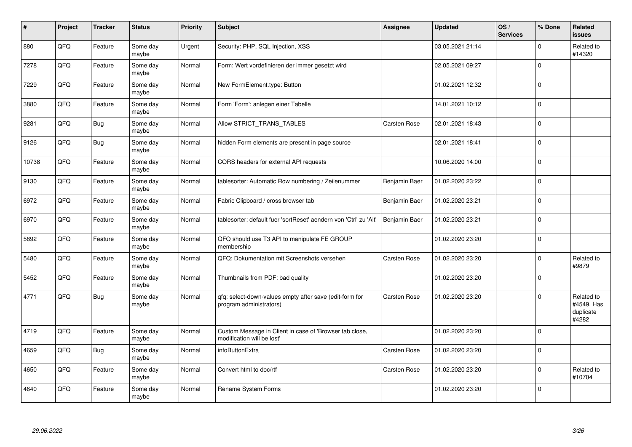| $\sharp$ | Project | <b>Tracker</b> | <b>Status</b>     | <b>Priority</b> | <b>Subject</b>                                                                        | <b>Assignee</b>     | <b>Updated</b>   | OS/<br><b>Services</b> | % Done      | Related<br><b>issues</b>                       |
|----------|---------|----------------|-------------------|-----------------|---------------------------------------------------------------------------------------|---------------------|------------------|------------------------|-------------|------------------------------------------------|
| 880      | QFQ     | Feature        | Some day<br>maybe | Urgent          | Security: PHP, SQL Injection, XSS                                                     |                     | 03.05.2021 21:14 |                        | $\Omega$    | Related to<br>#14320                           |
| 7278     | QFQ     | Feature        | Some day<br>maybe | Normal          | Form: Wert vordefinieren der immer gesetzt wird                                       |                     | 02.05.2021 09:27 |                        | $\Omega$    |                                                |
| 7229     | QFQ     | Feature        | Some day<br>maybe | Normal          | New FormElement.type: Button                                                          |                     | 01.02.2021 12:32 |                        | $\pmb{0}$   |                                                |
| 3880     | QFQ     | Feature        | Some day<br>maybe | Normal          | Form 'Form': anlegen einer Tabelle                                                    |                     | 14.01.2021 10:12 |                        | $\mathbf 0$ |                                                |
| 9281     | QFQ     | <b>Bug</b>     | Some day<br>maybe | Normal          | Allow STRICT_TRANS_TABLES                                                             | <b>Carsten Rose</b> | 02.01.2021 18:43 |                        | $\mathbf 0$ |                                                |
| 9126     | QFQ     | <b>Bug</b>     | Some day<br>maybe | Normal          | hidden Form elements are present in page source                                       |                     | 02.01.2021 18:41 |                        | $\mathbf 0$ |                                                |
| 10738    | QFQ     | Feature        | Some day<br>maybe | Normal          | CORS headers for external API requests                                                |                     | 10.06.2020 14:00 |                        | $\mathbf 0$ |                                                |
| 9130     | QFQ     | Feature        | Some day<br>maybe | Normal          | tablesorter: Automatic Row numbering / Zeilenummer                                    | Benjamin Baer       | 01.02.2020 23:22 |                        | $\mathbf 0$ |                                                |
| 6972     | QFQ     | Feature        | Some day<br>maybe | Normal          | Fabric Clipboard / cross browser tab                                                  | Benjamin Baer       | 01.02.2020 23:21 |                        | $\Omega$    |                                                |
| 6970     | QFQ     | Feature        | Some day<br>maybe | Normal          | tablesorter: default fuer 'sortReset' aendern von 'Ctrl' zu 'Alt'                     | Benjamin Baer       | 01.02.2020 23:21 |                        | $\mathbf 0$ |                                                |
| 5892     | QFQ     | Feature        | Some day<br>maybe | Normal          | QFQ should use T3 API to manipulate FE GROUP<br>membership                            |                     | 01.02.2020 23:20 |                        | $\mathbf 0$ |                                                |
| 5480     | QFQ     | Feature        | Some day<br>maybe | Normal          | QFQ: Dokumentation mit Screenshots versehen                                           | <b>Carsten Rose</b> | 01.02.2020 23:20 |                        | $\mathbf 0$ | Related to<br>#9879                            |
| 5452     | QFQ     | Feature        | Some day<br>maybe | Normal          | Thumbnails from PDF: bad quality                                                      |                     | 01.02.2020 23:20 |                        | $\mathbf 0$ |                                                |
| 4771     | QFQ     | <b>Bug</b>     | Some day<br>maybe | Normal          | qfq: select-down-values empty after save (edit-form for<br>program administrators)    | <b>Carsten Rose</b> | 01.02.2020 23:20 |                        | $\mathbf 0$ | Related to<br>#4549, Has<br>duplicate<br>#4282 |
| 4719     | QFQ     | Feature        | Some day<br>maybe | Normal          | Custom Message in Client in case of 'Browser tab close,<br>modification will be lost' |                     | 01.02.2020 23:20 |                        | $\Omega$    |                                                |
| 4659     | QFQ     | Bug            | Some day<br>maybe | Normal          | infoButtonExtra                                                                       | Carsten Rose        | 01.02.2020 23:20 |                        | $\mathbf 0$ |                                                |
| 4650     | QFQ     | Feature        | Some day<br>maybe | Normal          | Convert html to doc/rtf                                                               | Carsten Rose        | 01.02.2020 23:20 |                        | $\mathbf 0$ | Related to<br>#10704                           |
| 4640     | QFQ     | Feature        | Some day<br>maybe | Normal          | Rename System Forms                                                                   |                     | 01.02.2020 23:20 |                        | $\Omega$    |                                                |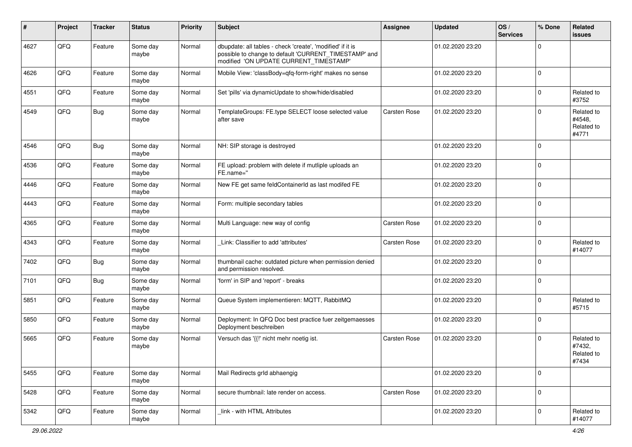| ∦    | Project | <b>Tracker</b> | <b>Status</b>     | <b>Priority</b> | <b>Subject</b>                                                                                                                                                | Assignee     | <b>Updated</b>   | OS/<br><b>Services</b> | % Done      | Related<br>issues                           |
|------|---------|----------------|-------------------|-----------------|---------------------------------------------------------------------------------------------------------------------------------------------------------------|--------------|------------------|------------------------|-------------|---------------------------------------------|
| 4627 | QFQ     | Feature        | Some day<br>maybe | Normal          | dbupdate: all tables - check 'create', 'modified' if it is<br>possible to change to default 'CURRENT_TIMESTAMP' and<br>modified 'ON UPDATE CURRENT TIMESTAMP' |              | 01.02.2020 23:20 |                        | $\mathbf 0$ |                                             |
| 4626 | QFQ     | Feature        | Some day<br>maybe | Normal          | Mobile View: 'classBody=qfq-form-right' makes no sense                                                                                                        |              | 01.02.2020 23:20 |                        | $\mathbf 0$ |                                             |
| 4551 | QFQ     | Feature        | Some day<br>maybe | Normal          | Set 'pills' via dynamicUpdate to show/hide/disabled                                                                                                           |              | 01.02.2020 23:20 |                        | $\mathbf 0$ | Related to<br>#3752                         |
| 4549 | QFQ     | <b>Bug</b>     | Some day<br>maybe | Normal          | TemplateGroups: FE.type SELECT loose selected value<br>after save                                                                                             | Carsten Rose | 01.02.2020 23:20 |                        | $\mathbf 0$ | Related to<br>#4548,<br>Related to<br>#4771 |
| 4546 | QFQ     | <b>Bug</b>     | Some day<br>maybe | Normal          | NH: SIP storage is destroyed                                                                                                                                  |              | 01.02.2020 23:20 |                        | $\mathbf 0$ |                                             |
| 4536 | QFQ     | Feature        | Some day<br>maybe | Normal          | FE upload: problem with delete if mutliple uploads an<br>FE.name="                                                                                            |              | 01.02.2020 23:20 |                        | $\mathbf 0$ |                                             |
| 4446 | QFQ     | Feature        | Some day<br>maybe | Normal          | New FE get same feldContainerId as last modifed FE                                                                                                            |              | 01.02.2020 23:20 |                        | $\mathbf 0$ |                                             |
| 4443 | QFQ     | Feature        | Some day<br>maybe | Normal          | Form: multiple secondary tables                                                                                                                               |              | 01.02.2020 23:20 |                        | $\mathbf 0$ |                                             |
| 4365 | QFQ     | Feature        | Some day<br>maybe | Normal          | Multi Language: new way of config                                                                                                                             | Carsten Rose | 01.02.2020 23:20 |                        | $\mathbf 0$ |                                             |
| 4343 | QFQ     | Feature        | Some day<br>maybe | Normal          | Link: Classifier to add 'attributes'                                                                                                                          | Carsten Rose | 01.02.2020 23:20 |                        | $\mathbf 0$ | Related to<br>#14077                        |
| 7402 | QFQ     | <b>Bug</b>     | Some day<br>maybe | Normal          | thumbnail cache: outdated picture when permission denied<br>and permission resolved.                                                                          |              | 01.02.2020 23:20 |                        | $\mathbf 0$ |                                             |
| 7101 | QFQ     | <b>Bug</b>     | Some day<br>maybe | Normal          | 'form' in SIP and 'report' - breaks                                                                                                                           |              | 01.02.2020 23:20 |                        | $\mathbf 0$ |                                             |
| 5851 | QFQ     | Feature        | Some day<br>maybe | Normal          | Queue System implementieren: MQTT, RabbitMQ                                                                                                                   |              | 01.02.2020 23:20 |                        | $\mathbf 0$ | Related to<br>#5715                         |
| 5850 | QFQ     | Feature        | Some day<br>maybe | Normal          | Deployment: In QFQ Doc best practice fuer zeitgemaesses<br>Deployment beschreiben                                                                             |              | 01.02.2020 23:20 |                        | $\mathbf 0$ |                                             |
| 5665 | QFQ     | Feature        | Some day<br>maybe | Normal          | Versuch das '{{!' nicht mehr noetig ist.                                                                                                                      | Carsten Rose | 01.02.2020 23:20 |                        | $\Omega$    | Related to<br>#7432,<br>Related to<br>#7434 |
| 5455 | QFQ     | Feature        | Some day<br>maybe | Normal          | Mail Redirects grld abhaengig                                                                                                                                 |              | 01.02.2020 23:20 |                        | $\mathbf 0$ |                                             |
| 5428 | QFG     | Feature        | Some day<br>maybe | Normal          | secure thumbnail: late render on access.                                                                                                                      | Carsten Rose | 01.02.2020 23:20 |                        | $\pmb{0}$   |                                             |
| 5342 | QFO     | Feature        | Some day<br>maybe | Normal          | link - with HTML Attributes                                                                                                                                   |              | 01.02.2020 23:20 |                        | $\pmb{0}$   | Related to<br>#14077                        |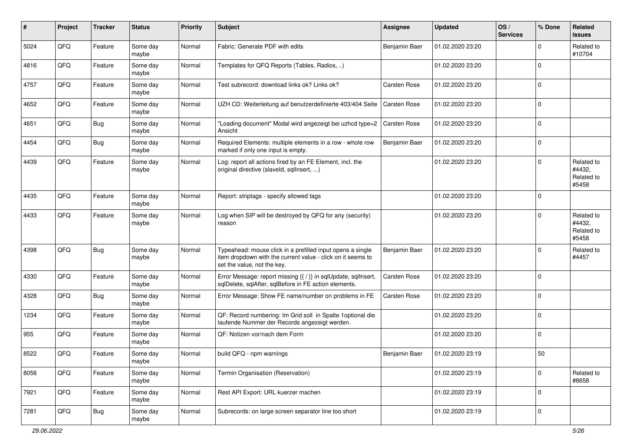| $\sharp$ | Project | <b>Tracker</b> | <b>Status</b>     | Priority | Subject                                                                                                                                                  | Assignee            | <b>Updated</b>   | OS/<br><b>Services</b> | % Done         | Related<br><b>issues</b>                    |
|----------|---------|----------------|-------------------|----------|----------------------------------------------------------------------------------------------------------------------------------------------------------|---------------------|------------------|------------------------|----------------|---------------------------------------------|
| 5024     | QFQ     | Feature        | Some day<br>maybe | Normal   | Fabric: Generate PDF with edits                                                                                                                          | Benjamin Baer       | 01.02.2020 23:20 |                        | $\mathbf 0$    | Related to<br>#10704                        |
| 4816     | QFQ     | Feature        | Some day<br>maybe | Normal   | Templates for QFQ Reports (Tables, Radios, )                                                                                                             |                     | 01.02.2020 23:20 |                        | $\overline{0}$ |                                             |
| 4757     | QFQ     | Feature        | Some day<br>maybe | Normal   | Test subrecord: download links ok? Links ok?                                                                                                             | Carsten Rose        | 01.02.2020 23:20 |                        | 0              |                                             |
| 4652     | QFQ     | Feature        | Some day<br>maybe | Normal   | UZH CD: Weiterleitung auf benutzerdefinierte 403/404 Seite                                                                                               | <b>Carsten Rose</b> | 01.02.2020 23:20 |                        | $\overline{0}$ |                                             |
| 4651     | QFQ     | <b>Bug</b>     | Some day<br>maybe | Normal   | "Loading document" Modal wird angezeigt bei uzhcd type=2<br>Ansicht                                                                                      | <b>Carsten Rose</b> | 01.02.2020 23:20 |                        | $\mathbf 0$    |                                             |
| 4454     | QFQ     | <b>Bug</b>     | Some day<br>maybe | Normal   | Required Elements: multiple elements in a row - whole row<br>marked if only one input is empty.                                                          | Benjamin Baer       | 01.02.2020 23:20 |                        | $\overline{0}$ |                                             |
| 4439     | QFQ     | Feature        | Some day<br>maybe | Normal   | Log: report all actions fired by an FE Element, incl. the<br>original directive (slaveld, sqlInsert, )                                                   |                     | 01.02.2020 23:20 |                        | $\mathbf 0$    | Related to<br>#4432,<br>Related to<br>#5458 |
| 4435     | QFQ     | Feature        | Some day<br>maybe | Normal   | Report: striptags - specify allowed tags                                                                                                                 |                     | 01.02.2020 23:20 |                        | $\overline{0}$ |                                             |
| 4433     | QFQ     | Feature        | Some day<br>maybe | Normal   | Log when SIP will be destroyed by QFQ for any (security)<br>reason                                                                                       |                     | 01.02.2020 23:20 |                        | $\mathbf 0$    | Related to<br>#4432,<br>Related to<br>#5458 |
| 4398     | QFQ     | <b>Bug</b>     | Some day<br>maybe | Normal   | Typeahead: mouse click in a prefilled input opens a single<br>item dropdown with the current value - click on it seems to<br>set the value, not the key. | Benjamin Baer       | 01.02.2020 23:20 |                        | $\Omega$       | Related to<br>#4457                         |
| 4330     | QFQ     | Feature        | Some day<br>maybe | Normal   | Error Message: report missing {{ / }} in sqlUpdate, sqlInsert,<br>sqlDelete, sqlAfter, sqlBefore in FE action elements.                                  | Carsten Rose        | 01.02.2020 23:20 |                        | $\mathbf 0$    |                                             |
| 4328     | QFQ     | <b>Bug</b>     | Some day<br>maybe | Normal   | Error Message: Show FE name/number on problems in FE                                                                                                     | Carsten Rose        | 01.02.2020 23:20 |                        | $\mathbf 0$    |                                             |
| 1234     | QFQ     | Feature        | Some day<br>maybe | Normal   | QF: Record numbering: Im Grid soll in Spalte 1optional die<br>laufende Nummer der Records angezeigt werden.                                              |                     | 01.02.2020 23:20 |                        | $\overline{0}$ |                                             |
| 955      | QFQ     | Feature        | Some day<br>maybe | Normal   | QF: Notizen vor/nach dem Form                                                                                                                            |                     | 01.02.2020 23:20 |                        | $\overline{0}$ |                                             |
| 8522     | QFQ     | Feature        | Some day<br>maybe | Normal   | build QFQ - npm warnings                                                                                                                                 | Benjamin Baer       | 01.02.2020 23:19 |                        | 50             |                                             |
| 8056     | QFQ     | Feature        | Some day<br>maybe | Normal   | Termin Organisation (Reservation)                                                                                                                        |                     | 01.02.2020 23:19 |                        | $\mathbf 0$    | Related to<br>#8658                         |
| 7921     | QFQ     | Feature        | Some day<br>maybe | Normal   | Rest API Export: URL kuerzer machen                                                                                                                      |                     | 01.02.2020 23:19 |                        | $\overline{0}$ |                                             |
| 7281     | QFQ     | Bug            | Some day<br>maybe | Normal   | Subrecords: on large screen separator line too short                                                                                                     |                     | 01.02.2020 23:19 |                        | $\overline{0}$ |                                             |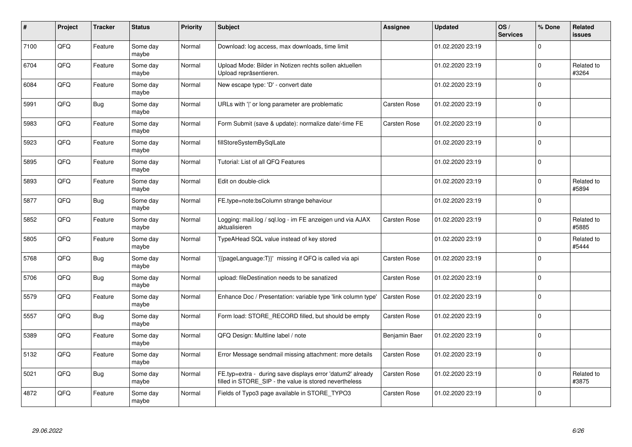| #    | Project | <b>Tracker</b> | <b>Status</b>     | <b>Priority</b> | <b>Subject</b>                                                                                                       | <b>Assignee</b>     | <b>Updated</b>   | OS/<br><b>Services</b> | % Done         | <b>Related</b><br><b>issues</b> |
|------|---------|----------------|-------------------|-----------------|----------------------------------------------------------------------------------------------------------------------|---------------------|------------------|------------------------|----------------|---------------------------------|
| 7100 | QFQ     | Feature        | Some day<br>maybe | Normal          | Download: log access, max downloads, time limit                                                                      |                     | 01.02.2020 23:19 |                        | $\mathbf 0$    |                                 |
| 6704 | QFQ     | Feature        | Some day<br>maybe | Normal          | Upload Mode: Bilder in Notizen rechts sollen aktuellen<br>Upload repräsentieren.                                     |                     | 01.02.2020 23:19 |                        | $\mathbf 0$    | Related to<br>#3264             |
| 6084 | QFQ     | Feature        | Some day<br>maybe | Normal          | New escape type: 'D' - convert date                                                                                  |                     | 01.02.2020 23:19 |                        | $\overline{0}$ |                                 |
| 5991 | QFQ     | Bug            | Some day<br>maybe | Normal          | URLs with ' ' or long parameter are problematic                                                                      | <b>Carsten Rose</b> | 01.02.2020 23:19 |                        | $\overline{0}$ |                                 |
| 5983 | QFQ     | Feature        | Some day<br>maybe | Normal          | Form Submit (save & update): normalize date/-time FE                                                                 | <b>Carsten Rose</b> | 01.02.2020 23:19 |                        | $\overline{0}$ |                                 |
| 5923 | QFQ     | Feature        | Some day<br>maybe | Normal          | fillStoreSystemBySqlLate                                                                                             |                     | 01.02.2020 23:19 |                        | $\overline{0}$ |                                 |
| 5895 | QFQ     | Feature        | Some day<br>maybe | Normal          | Tutorial: List of all QFQ Features                                                                                   |                     | 01.02.2020 23:19 |                        | $\overline{0}$ |                                 |
| 5893 | QFQ     | Feature        | Some day<br>maybe | Normal          | Edit on double-click                                                                                                 |                     | 01.02.2020 23:19 |                        | $\mathbf 0$    | Related to<br>#5894             |
| 5877 | QFQ     | Bug            | Some day<br>maybe | Normal          | FE.type=note:bsColumn strange behaviour                                                                              |                     | 01.02.2020 23:19 |                        | $\overline{0}$ |                                 |
| 5852 | QFQ     | Feature        | Some day<br>maybe | Normal          | Logging: mail.log / sql.log - im FE anzeigen und via AJAX<br>aktualisieren                                           | <b>Carsten Rose</b> | 01.02.2020 23:19 |                        | $\mathbf 0$    | Related to<br>#5885             |
| 5805 | QFQ     | Feature        | Some day<br>maybe | Normal          | TypeAHead SQL value instead of key stored                                                                            |                     | 01.02.2020 23:19 |                        | 0              | Related to<br>#5444             |
| 5768 | QFQ     | <b>Bug</b>     | Some day<br>maybe | Normal          | {{pageLanguage:T}}' missing if QFQ is called via api                                                                 | Carsten Rose        | 01.02.2020 23:19 |                        | $\overline{0}$ |                                 |
| 5706 | QFQ     | <b>Bug</b>     | Some day<br>maybe | Normal          | upload: fileDestination needs to be sanatized                                                                        | <b>Carsten Rose</b> | 01.02.2020 23:19 |                        | $\overline{0}$ |                                 |
| 5579 | QFQ     | Feature        | Some day<br>maybe | Normal          | Enhance Doc / Presentation: variable type 'link column type'                                                         | <b>Carsten Rose</b> | 01.02.2020 23:19 |                        | $\overline{0}$ |                                 |
| 5557 | QFQ     | <b>Bug</b>     | Some day<br>maybe | Normal          | Form load: STORE_RECORD filled, but should be empty                                                                  | Carsten Rose        | 01.02.2020 23:19 |                        | $\overline{0}$ |                                 |
| 5389 | QFQ     | Feature        | Some day<br>maybe | Normal          | QFQ Design: Multline label / note                                                                                    | Benjamin Baer       | 01.02.2020 23:19 |                        | $\overline{0}$ |                                 |
| 5132 | QFQ     | Feature        | Some day<br>maybe | Normal          | Error Message sendmail missing attachment: more details                                                              | <b>Carsten Rose</b> | 01.02.2020 23:19 |                        | $\overline{0}$ |                                 |
| 5021 | QFQ     | <b>Bug</b>     | Some day<br>maybe | Normal          | FE.typ=extra - during save displays error 'datum2' already<br>filled in STORE_SIP - the value is stored nevertheless | Carsten Rose        | 01.02.2020 23:19 |                        | $\pmb{0}$      | Related to<br>#3875             |
| 4872 | QFQ     | Feature        | Some day<br>maybe | Normal          | Fields of Typo3 page available in STORE_TYPO3                                                                        | <b>Carsten Rose</b> | 01.02.2020 23:19 |                        | $\overline{0}$ |                                 |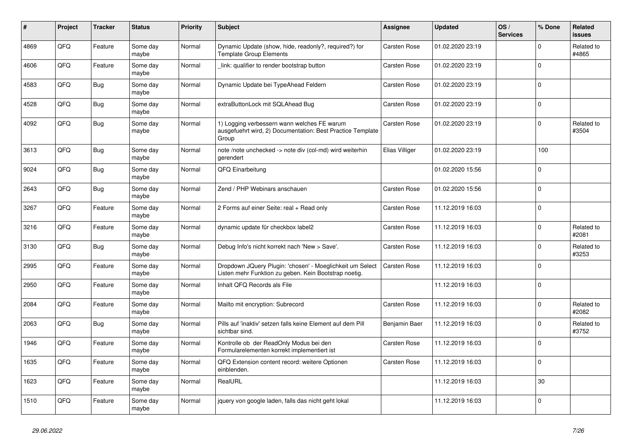| #    | Project | <b>Tracker</b> | <b>Status</b>     | <b>Priority</b> | <b>Subject</b>                                                                                                     | <b>Assignee</b>     | <b>Updated</b>   | OS/<br><b>Services</b> | % Done         | <b>Related</b><br><b>issues</b> |
|------|---------|----------------|-------------------|-----------------|--------------------------------------------------------------------------------------------------------------------|---------------------|------------------|------------------------|----------------|---------------------------------|
| 4869 | QFQ     | Feature        | Some day<br>maybe | Normal          | Dynamic Update (show, hide, readonly?, required?) for<br><b>Template Group Elements</b>                            | <b>Carsten Rose</b> | 01.02.2020 23:19 |                        | $\Omega$       | Related to<br>#4865             |
| 4606 | QFQ     | Feature        | Some day<br>maybe | Normal          | link: qualifier to render bootstrap button                                                                         | <b>Carsten Rose</b> | 01.02.2020 23:19 |                        | $\mathbf 0$    |                                 |
| 4583 | QFQ     | <b>Bug</b>     | Some day<br>maybe | Normal          | Dynamic Update bei TypeAhead Feldern                                                                               | <b>Carsten Rose</b> | 01.02.2020 23:19 |                        | $\overline{0}$ |                                 |
| 4528 | QFQ     | <b>Bug</b>     | Some day<br>maybe | Normal          | extraButtonLock mit SQLAhead Bug                                                                                   | <b>Carsten Rose</b> | 01.02.2020 23:19 |                        | $\overline{0}$ |                                 |
| 4092 | QFQ     | Bug            | Some day<br>maybe | Normal          | 1) Logging verbessern wann welches FE warum<br>ausgefuehrt wird, 2) Documentation: Best Practice Template<br>Group | Carsten Rose        | 01.02.2020 23:19 |                        | $\mathbf 0$    | Related to<br>#3504             |
| 3613 | QFQ     | <b>Bug</b>     | Some day<br>maybe | Normal          | note /note unchecked -> note div (col-md) wird weiterhin<br>gerendert                                              | Elias Villiger      | 01.02.2020 23:19 |                        | 100            |                                 |
| 9024 | QFQ     | <b>Bug</b>     | Some day<br>maybe | Normal          | QFQ Einarbeitung                                                                                                   |                     | 01.02.2020 15:56 |                        | $\mathbf 0$    |                                 |
| 2643 | QFQ     | <b>Bug</b>     | Some day<br>maybe | Normal          | Zend / PHP Webinars anschauen                                                                                      | <b>Carsten Rose</b> | 01.02.2020 15:56 |                        | $\overline{0}$ |                                 |
| 3267 | QFQ     | Feature        | Some day<br>maybe | Normal          | 2 Forms auf einer Seite: real + Read only                                                                          | <b>Carsten Rose</b> | 11.12.2019 16:03 |                        | $\mathbf 0$    |                                 |
| 3216 | QFQ     | Feature        | Some day<br>maybe | Normal          | dynamic update für checkbox label2                                                                                 | <b>Carsten Rose</b> | 11.12.2019 16:03 |                        | $\mathbf 0$    | Related to<br>#2081             |
| 3130 | QFQ     | <b>Bug</b>     | Some day<br>maybe | Normal          | Debug Info's nicht korrekt nach 'New > Save'.                                                                      | <b>Carsten Rose</b> | 11.12.2019 16:03 |                        | $\Omega$       | Related to<br>#3253             |
| 2995 | QFQ     | Feature        | Some day<br>maybe | Normal          | Dropdown JQuery Plugin: 'chosen' - Moeglichkeit um Select<br>Listen mehr Funktion zu geben. Kein Bootstrap noetig. | <b>Carsten Rose</b> | 11.12.2019 16:03 |                        | $\mathbf 0$    |                                 |
| 2950 | QFQ     | Feature        | Some day<br>maybe | Normal          | Inhalt QFQ Records als File                                                                                        |                     | 11.12.2019 16:03 |                        | $\overline{0}$ |                                 |
| 2084 | QFQ     | Feature        | Some day<br>maybe | Normal          | Mailto mit encryption: Subrecord                                                                                   | Carsten Rose        | 11.12.2019 16:03 |                        | $\Omega$       | Related to<br>#2082             |
| 2063 | QFQ     | <b>Bug</b>     | Some day<br>maybe | Normal          | Pills auf 'inaktiv' setzen falls keine Element auf dem Pill<br>sichtbar sind.                                      | Benjamin Baer       | 11.12.2019 16:03 |                        | $\mathbf 0$    | Related to<br>#3752             |
| 1946 | QFQ     | Feature        | Some day<br>maybe | Normal          | Kontrolle ob der ReadOnly Modus bei den<br>Formularelementen korrekt implementiert ist                             | Carsten Rose        | 11.12.2019 16:03 |                        | $\overline{0}$ |                                 |
| 1635 | QFQ     | Feature        | Some day<br>maybe | Normal          | QFQ Extension content record: weitere Optionen<br>einblenden.                                                      | <b>Carsten Rose</b> | 11.12.2019 16:03 |                        | $\Omega$       |                                 |
| 1623 | QFQ     | Feature        | Some day<br>maybe | Normal          | RealURL                                                                                                            |                     | 11.12.2019 16:03 |                        | 30             |                                 |
| 1510 | QFQ     | Feature        | Some day<br>maybe | Normal          | jquery von google laden, falls das nicht geht lokal                                                                |                     | 11.12.2019 16:03 |                        | $\mathbf 0$    |                                 |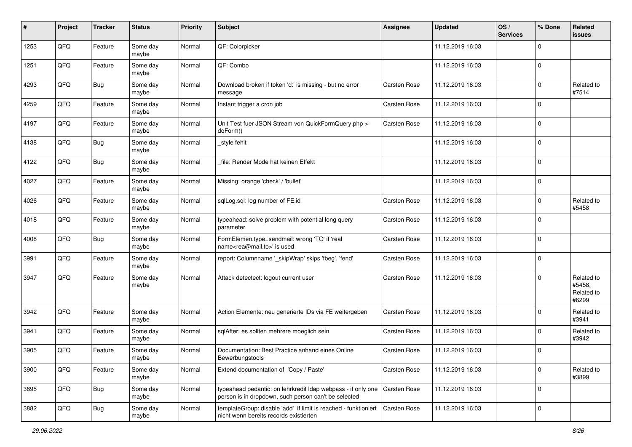| #    | Project | <b>Tracker</b> | <b>Status</b>     | Priority | Subject                                                                                                              | Assignee            | <b>Updated</b>   | OS/<br><b>Services</b> | % Done         | Related<br><b>issues</b>                    |
|------|---------|----------------|-------------------|----------|----------------------------------------------------------------------------------------------------------------------|---------------------|------------------|------------------------|----------------|---------------------------------------------|
| 1253 | QFQ     | Feature        | Some day<br>maybe | Normal   | QF: Colorpicker                                                                                                      |                     | 11.12.2019 16:03 |                        | $\mathbf 0$    |                                             |
| 1251 | QFQ     | Feature        | Some day<br>maybe | Normal   | QF: Combo                                                                                                            |                     | 11.12.2019 16:03 |                        | $\overline{0}$ |                                             |
| 4293 | QFQ     | <b>Bug</b>     | Some day<br>maybe | Normal   | Download broken if token 'd:' is missing - but no error<br>message                                                   | <b>Carsten Rose</b> | 11.12.2019 16:03 |                        | $\mathbf 0$    | Related to<br>#7514                         |
| 4259 | QFQ     | Feature        | Some day<br>maybe | Normal   | Instant trigger a cron job                                                                                           | <b>Carsten Rose</b> | 11.12.2019 16:03 |                        | $\overline{0}$ |                                             |
| 4197 | QFQ     | Feature        | Some day<br>maybe | Normal   | Unit Test fuer JSON Stream von QuickFormQuery.php ><br>doForm()                                                      | <b>Carsten Rose</b> | 11.12.2019 16:03 |                        | $\mathbf 0$    |                                             |
| 4138 | QFQ     | Bug            | Some day<br>maybe | Normal   | _style fehlt                                                                                                         |                     | 11.12.2019 16:03 |                        | $\overline{0}$ |                                             |
| 4122 | QFQ     | Bug            | Some day<br>maybe | Normal   | file: Render Mode hat keinen Effekt                                                                                  |                     | 11.12.2019 16:03 |                        | $\mathbf 0$    |                                             |
| 4027 | QFQ     | Feature        | Some day<br>maybe | Normal   | Missing: orange 'check' / 'bullet'                                                                                   |                     | 11.12.2019 16:03 |                        | $\overline{0}$ |                                             |
| 4026 | QFQ     | Feature        | Some day<br>maybe | Normal   | sqlLog.sql: log number of FE.id                                                                                      | <b>Carsten Rose</b> | 11.12.2019 16:03 |                        | $\mathbf 0$    | Related to<br>#5458                         |
| 4018 | QFQ     | Feature        | Some day<br>maybe | Normal   | typeahead: solve problem with potential long query<br>parameter                                                      | <b>Carsten Rose</b> | 11.12.2019 16:03 |                        | $\overline{0}$ |                                             |
| 4008 | QFQ     | <b>Bug</b>     | Some day<br>maybe | Normal   | FormElemen.type=sendmail: wrong 'TO' if 'real<br>name <rea@mail.to>' is used</rea@mail.to>                           | <b>Carsten Rose</b> | 11.12.2019 16:03 |                        | $\overline{0}$ |                                             |
| 3991 | QFQ     | Feature        | Some day<br>maybe | Normal   | report: Columnname '_skipWrap' skips 'fbeg', 'fend'                                                                  | <b>Carsten Rose</b> | 11.12.2019 16:03 |                        | $\mathbf 0$    |                                             |
| 3947 | QFQ     | Feature        | Some day<br>maybe | Normal   | Attack detectect: logout current user                                                                                | Carsten Rose        | 11.12.2019 16:03 |                        | $\overline{0}$ | Related to<br>#5458,<br>Related to<br>#6299 |
| 3942 | QFQ     | Feature        | Some day<br>maybe | Normal   | Action Elemente: neu generierte IDs via FE weitergeben                                                               | Carsten Rose        | 11.12.2019 16:03 |                        | $\mathbf 0$    | Related to<br>#3941                         |
| 3941 | QFQ     | Feature        | Some day<br>maybe | Normal   | sqlAfter: es sollten mehrere moeglich sein                                                                           | Carsten Rose        | 11.12.2019 16:03 |                        | $\Omega$       | Related to<br>#3942                         |
| 3905 | QFQ     | Feature        | Some day<br>maybe | Normal   | Documentation: Best Practice anhand eines Online<br>Bewerbungstools                                                  | Carsten Rose        | 11.12.2019 16:03 |                        | $\mathbf 0$    |                                             |
| 3900 | QFQ     | Feature        | Some day<br>maybe | Normal   | Extend documentation of 'Copy / Paste'                                                                               | Carsten Rose        | 11.12.2019 16:03 |                        | $\overline{0}$ | Related to<br>#3899                         |
| 3895 | QFQ     | <b>Bug</b>     | Some day<br>maybe | Normal   | typeahead pedantic: on lehrkredit Idap webpass - if only one<br>person is in dropdown, such person can't be selected | Carsten Rose        | 11.12.2019 16:03 |                        | $\overline{0}$ |                                             |
| 3882 | QFQ     | Bug            | Some day<br>maybe | Normal   | templateGroup: disable 'add' if limit is reached - funktioniert<br>nicht wenn bereits records existierten            | <b>Carsten Rose</b> | 11.12.2019 16:03 |                        | $\overline{0}$ |                                             |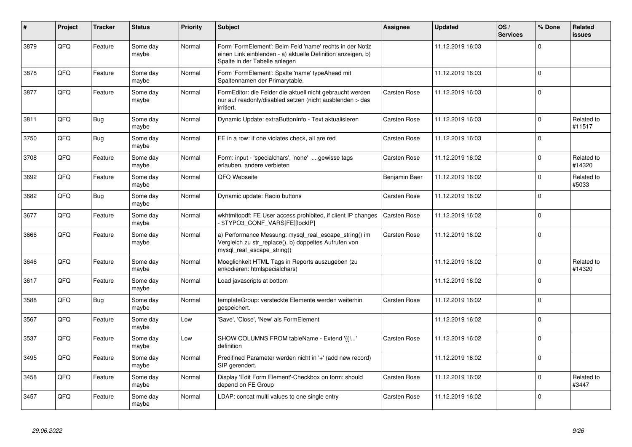| #    | Project | <b>Tracker</b> | <b>Status</b>     | <b>Priority</b> | <b>Subject</b>                                                                                                                                           | <b>Assignee</b>     | <b>Updated</b>   | OS/<br><b>Services</b> | % Done         | <b>Related</b><br><b>issues</b> |
|------|---------|----------------|-------------------|-----------------|----------------------------------------------------------------------------------------------------------------------------------------------------------|---------------------|------------------|------------------------|----------------|---------------------------------|
| 3879 | QFQ     | Feature        | Some day<br>maybe | Normal          | Form 'FormElement': Beim Feld 'name' rechts in der Notiz<br>einen Link einblenden - a) aktuelle Definition anzeigen, b)<br>Spalte in der Tabelle anlegen |                     | 11.12.2019 16:03 |                        | $\mathbf 0$    |                                 |
| 3878 | QFQ     | Feature        | Some day<br>maybe | Normal          | Form 'FormElement': Spalte 'name' typeAhead mit<br>Spaltennamen der Primarytable.                                                                        |                     | 11.12.2019 16:03 |                        | $\overline{0}$ |                                 |
| 3877 | QFQ     | Feature        | Some day<br>maybe | Normal          | FormEditor: die Felder die aktuell nicht gebraucht werden<br>nur auf readonly/disabled setzen (nicht ausblenden > das<br>irritiert.                      | <b>Carsten Rose</b> | 11.12.2019 16:03 |                        | $\mathbf 0$    |                                 |
| 3811 | QFQ     | Bug            | Some day<br>maybe | Normal          | Dynamic Update: extraButtonInfo - Text aktualisieren                                                                                                     | <b>Carsten Rose</b> | 11.12.2019 16:03 |                        | $\overline{0}$ | Related to<br>#11517            |
| 3750 | QFQ     | <b>Bug</b>     | Some day<br>maybe | Normal          | FE in a row: if one violates check, all are red                                                                                                          | <b>Carsten Rose</b> | 11.12.2019 16:03 |                        | $\mathbf 0$    |                                 |
| 3708 | QFQ     | Feature        | Some day<br>maybe | Normal          | Form: input - 'specialchars', 'none'  gewisse tags<br>erlauben, andere verbieten                                                                         | <b>Carsten Rose</b> | 11.12.2019 16:02 |                        | $\mathbf 0$    | Related to<br>#14320            |
| 3692 | QFQ     | Feature        | Some day<br>maybe | Normal          | QFQ Webseite                                                                                                                                             | Benjamin Baer       | 11.12.2019 16:02 |                        | $\Omega$       | Related to<br>#5033             |
| 3682 | QFQ     | Bug            | Some day<br>maybe | Normal          | Dynamic update: Radio buttons                                                                                                                            | Carsten Rose        | 11.12.2019 16:02 |                        | $\Omega$       |                                 |
| 3677 | QFQ     | Feature        | Some day<br>maybe | Normal          | wkhtmltopdf: FE User access prohibited, if client IP changes<br>\$TYPO3_CONF_VARS[FE][lockIP]                                                            | Carsten Rose        | 11.12.2019 16:02 |                        | $\overline{0}$ |                                 |
| 3666 | QFQ     | Feature        | Some day<br>maybe | Normal          | a) Performance Messung: mysql_real_escape_string() im<br>Vergleich zu str_replace(), b) doppeltes Aufrufen von<br>mysql real escape string()             | <b>Carsten Rose</b> | 11.12.2019 16:02 |                        | $\mathbf 0$    |                                 |
| 3646 | QFQ     | Feature        | Some day<br>maybe | Normal          | Moeglichkeit HTML Tags in Reports auszugeben (zu<br>enkodieren: htmlspecialchars)                                                                        |                     | 11.12.2019 16:02 |                        | $\mathbf 0$    | Related to<br>#14320            |
| 3617 | QFQ     | Feature        | Some day<br>maybe | Normal          | Load javascripts at bottom                                                                                                                               |                     | 11.12.2019 16:02 |                        | $\mathbf 0$    |                                 |
| 3588 | QFQ     | <b>Bug</b>     | Some day<br>maybe | Normal          | templateGroup: versteckte Elemente werden weiterhin<br>gespeichert.                                                                                      | <b>Carsten Rose</b> | 11.12.2019 16:02 |                        | $\overline{0}$ |                                 |
| 3567 | QFQ     | Feature        | Some day<br>maybe | Low             | 'Save', 'Close', 'New' als FormElement                                                                                                                   |                     | 11.12.2019 16:02 |                        | $\overline{0}$ |                                 |
| 3537 | QFQ     | Feature        | Some day<br>maybe | Low             | SHOW COLUMNS FROM tableName - Extend '{{!'<br>definition                                                                                                 | <b>Carsten Rose</b> | 11.12.2019 16:02 |                        | $\Omega$       |                                 |
| 3495 | QFQ     | Feature        | Some day<br>maybe | Normal          | Predifined Parameter werden nicht in '+' (add new record)<br>SIP gerendert.                                                                              |                     | 11.12.2019 16:02 |                        | $\overline{0}$ |                                 |
| 3458 | QFQ     | Feature        | Some day<br>maybe | Normal          | Display 'Edit Form Element'-Checkbox on form: should<br>depend on FE Group                                                                               | <b>Carsten Rose</b> | 11.12.2019 16:02 |                        | $\mathbf 0$    | Related to<br>#3447             |
| 3457 | QFQ     | Feature        | Some day<br>maybe | Normal          | LDAP: concat multi values to one single entry                                                                                                            | <b>Carsten Rose</b> | 11.12.2019 16:02 |                        | $\mathbf 0$    |                                 |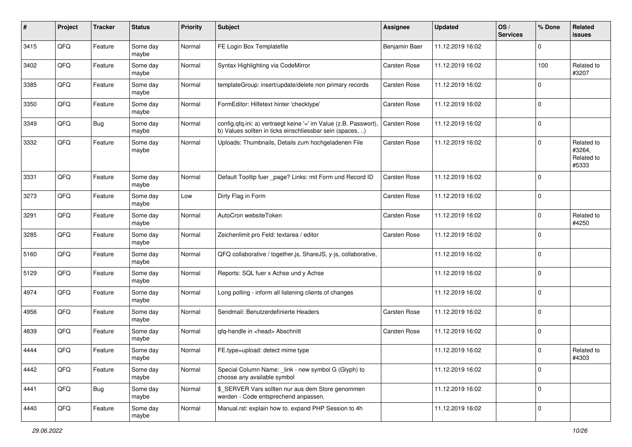| #    | Project | <b>Tracker</b> | <b>Status</b>     | <b>Priority</b> | <b>Subject</b>                                                                                                                | <b>Assignee</b>     | <b>Updated</b>   | OS/<br><b>Services</b> | % Done         | Related<br><b>issues</b>                    |
|------|---------|----------------|-------------------|-----------------|-------------------------------------------------------------------------------------------------------------------------------|---------------------|------------------|------------------------|----------------|---------------------------------------------|
| 3415 | QFQ     | Feature        | Some day<br>maybe | Normal          | FE Login Box Templatefile                                                                                                     | Benjamin Baer       | 11.12.2019 16:02 |                        | $\mathbf 0$    |                                             |
| 3402 | QFQ     | Feature        | Some day<br>maybe | Normal          | Syntax Highlighting via CodeMirror                                                                                            | Carsten Rose        | 11.12.2019 16:02 |                        | 100            | Related to<br>#3207                         |
| 3385 | QFQ     | Feature        | Some day<br>maybe | Normal          | templateGroup: insert/update/delete non primary records                                                                       | Carsten Rose        | 11.12.2019 16:02 |                        | 0              |                                             |
| 3350 | QFQ     | Feature        | Some day<br>maybe | Normal          | FormEditor: Hilfetext hinter 'checktype'                                                                                      | <b>Carsten Rose</b> | 11.12.2019 16:02 |                        | $\overline{0}$ |                                             |
| 3349 | QFQ     | <b>Bug</b>     | Some day<br>maybe | Normal          | config.qfq.ini: a) vertraegt keine '=' im Value (z.B. Passwort),<br>b) Values sollten in ticks einschliessbar sein (spaces, ) | <b>Carsten Rose</b> | 11.12.2019 16:02 |                        | $\overline{0}$ |                                             |
| 3332 | QFQ     | Feature        | Some day<br>maybe | Normal          | Uploads: Thumbnails, Details zum hochgeladenen File                                                                           | Carsten Rose        | 11.12.2019 16:02 |                        | $\overline{0}$ | Related to<br>#3264,<br>Related to<br>#5333 |
| 3331 | QFQ     | Feature        | Some day<br>maybe | Normal          | Default Tooltip fuer _page? Links: mit Form und Record ID                                                                     | Carsten Rose        | 11.12.2019 16:02 |                        | $\overline{0}$ |                                             |
| 3273 | QFQ     | Feature        | Some day<br>maybe | Low             | Dirty Flag in Form                                                                                                            | Carsten Rose        | 11.12.2019 16:02 |                        | $\overline{0}$ |                                             |
| 3291 | QFQ     | Feature        | Some day<br>maybe | Normal          | AutoCron websiteToken                                                                                                         | <b>Carsten Rose</b> | 11.12.2019 16:02 |                        | 0              | Related to<br>#4250                         |
| 3285 | QFQ     | Feature        | Some day<br>maybe | Normal          | Zeichenlimit pro Feld: textarea / editor                                                                                      | Carsten Rose        | 11.12.2019 16:02 |                        | $\overline{0}$ |                                             |
| 5160 | QFQ     | Feature        | Some day<br>maybe | Normal          | QFQ collaborative / together.js, ShareJS, y-js, collaborative,                                                                |                     | 11.12.2019 16:02 |                        | $\overline{0}$ |                                             |
| 5129 | QFQ     | Feature        | Some day<br>maybe | Normal          | Reports: SQL fuer x Achse und y Achse                                                                                         |                     | 11.12.2019 16:02 |                        | $\overline{0}$ |                                             |
| 4974 | QFQ     | Feature        | Some day<br>maybe | Normal          | Long polling - inform all listening clients of changes                                                                        |                     | 11.12.2019 16:02 |                        | $\overline{0}$ |                                             |
| 4956 | QFQ     | Feature        | Some day<br>maybe | Normal          | Sendmail: Benutzerdefinierte Headers                                                                                          | Carsten Rose        | 11.12.2019 16:02 |                        | $\overline{0}$ |                                             |
| 4839 | QFQ     | Feature        | Some day<br>maybe | Normal          | qfq-handle in <head> Abschnitt</head>                                                                                         | Carsten Rose        | 11.12.2019 16:02 |                        | $\overline{0}$ |                                             |
| 4444 | QFQ     | Feature        | Some day<br>maybe | Normal          | FE.type=upload: detect mime type                                                                                              |                     | 11.12.2019 16:02 |                        | 0              | Related to<br>#4303                         |
| 4442 | QFQ     | Feature        | Some day<br>maybe | Normal          | Special Column Name: _link - new symbol G (Glyph) to<br>choose any available symbol                                           |                     | 11.12.2019 16:02 |                        | $\overline{0}$ |                                             |
| 4441 | QFQ     | <b>Bug</b>     | Some day<br>maybe | Normal          | \$ SERVER Vars sollten nur aus dem Store genommen<br>werden - Code entsprechend anpassen.                                     |                     | 11.12.2019 16:02 |                        | $\overline{0}$ |                                             |
| 4440 | QFG     | Feature        | Some day<br>maybe | Normal          | Manual.rst: explain how to. expand PHP Session to 4h                                                                          |                     | 11.12.2019 16:02 |                        | $\overline{0}$ |                                             |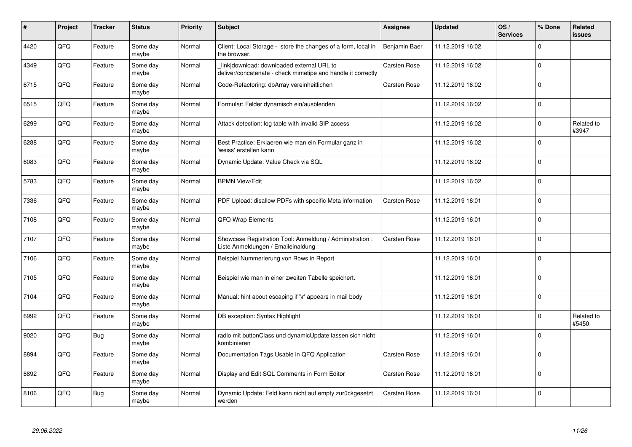| $\pmb{\#}$ | Project | <b>Tracker</b> | <b>Status</b>     | <b>Priority</b> | <b>Subject</b>                                                                                            | Assignee            | <b>Updated</b>   | OS/<br><b>Services</b> | % Done         | <b>Related</b><br><b>issues</b> |
|------------|---------|----------------|-------------------|-----------------|-----------------------------------------------------------------------------------------------------------|---------------------|------------------|------------------------|----------------|---------------------------------|
| 4420       | QFQ     | Feature        | Some day<br>maybe | Normal          | Client: Local Storage - store the changes of a form, local in<br>the browser.                             | Benjamin Baer       | 11.12.2019 16:02 |                        | $\Omega$       |                                 |
| 4349       | QFQ     | Feature        | Some day<br>maybe | Normal          | link download: downloaded external URL to<br>deliver/concatenate - check mimetipe and handle it correctly | <b>Carsten Rose</b> | 11.12.2019 16:02 |                        | $\overline{0}$ |                                 |
| 6715       | QFQ     | Feature        | Some day<br>maybe | Normal          | Code-Refactoring: dbArray vereinheitlichen                                                                | <b>Carsten Rose</b> | 11.12.2019 16:02 |                        | $\overline{0}$ |                                 |
| 6515       | QFQ     | Feature        | Some day<br>maybe | Normal          | Formular: Felder dynamisch ein/ausblenden                                                                 |                     | 11.12.2019 16:02 |                        | $\overline{0}$ |                                 |
| 6299       | QFQ     | Feature        | Some day<br>maybe | Normal          | Attack detection: log table with invalid SIP access                                                       |                     | 11.12.2019 16:02 |                        | $\overline{0}$ | Related to<br>#3947             |
| 6288       | QFQ     | Feature        | Some day<br>maybe | Normal          | Best Practice: Erklaeren wie man ein Formular ganz in<br>weiss' erstellen kann                            |                     | 11.12.2019 16:02 |                        | $\overline{0}$ |                                 |
| 6083       | QFQ     | Feature        | Some day<br>maybe | Normal          | Dynamic Update: Value Check via SQL                                                                       |                     | 11.12.2019 16:02 |                        | $\overline{0}$ |                                 |
| 5783       | QFQ     | Feature        | Some day<br>maybe | Normal          | <b>BPMN View/Edit</b>                                                                                     |                     | 11.12.2019 16:02 |                        | $\overline{0}$ |                                 |
| 7336       | QFQ     | Feature        | Some day<br>maybe | Normal          | PDF Upload: disallow PDFs with specific Meta information                                                  | Carsten Rose        | 11.12.2019 16:01 |                        | $\overline{0}$ |                                 |
| 7108       | QFQ     | Feature        | Some day<br>maybe | Normal          | QFQ Wrap Elements                                                                                         |                     | 11.12.2019 16:01 |                        | $\overline{0}$ |                                 |
| 7107       | QFQ     | Feature        | Some day<br>maybe | Normal          | Showcase Registration Tool: Anmeldung / Administration :<br>Liste Anmeldungen / Emaileinaldung            | <b>Carsten Rose</b> | 11.12.2019 16:01 |                        | $\overline{0}$ |                                 |
| 7106       | QFQ     | Feature        | Some day<br>maybe | Normal          | Beispiel Nummerierung von Rows in Report                                                                  |                     | 11.12.2019 16:01 |                        | $\overline{0}$ |                                 |
| 7105       | QFQ     | Feature        | Some day<br>maybe | Normal          | Beispiel wie man in einer zweiten Tabelle speichert.                                                      |                     | 11.12.2019 16:01 |                        | $\overline{0}$ |                                 |
| 7104       | QFQ     | Feature        | Some day<br>maybe | Normal          | Manual: hint about escaping if '\r' appears in mail body                                                  |                     | 11.12.2019 16:01 |                        | $\overline{0}$ |                                 |
| 6992       | QFQ     | Feature        | Some day<br>maybe | Normal          | DB exception: Syntax Highlight                                                                            |                     | 11.12.2019 16:01 |                        | $\mathbf 0$    | Related to<br>#5450             |
| 9020       | QFQ     | <b>Bug</b>     | Some day<br>maybe | Normal          | radio mit buttonClass und dynamicUpdate lassen sich nicht<br>kombinieren                                  |                     | 11.12.2019 16:01 |                        | $\overline{0}$ |                                 |
| 8894       | QFQ     | Feature        | Some day<br>maybe | Normal          | Documentation Tags Usable in QFQ Application                                                              | <b>Carsten Rose</b> | 11.12.2019 16:01 |                        | $\overline{0}$ |                                 |
| 8892       | QFQ     | Feature        | Some day<br>maybe | Normal          | Display and Edit SQL Comments in Form Editor                                                              | <b>Carsten Rose</b> | 11.12.2019 16:01 |                        | $\overline{0}$ |                                 |
| 8106       | QFQ     | <b>Bug</b>     | Some day<br>maybe | Normal          | Dynamic Update: Feld kann nicht auf empty zurückgesetzt<br>werden                                         | <b>Carsten Rose</b> | 11.12.2019 16:01 |                        | $\overline{0}$ |                                 |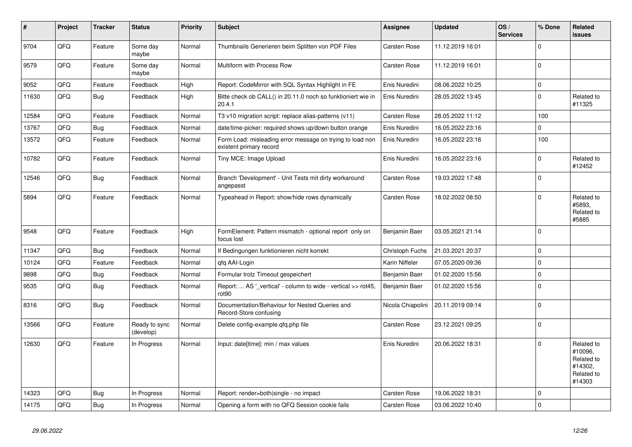| #     | Project | <b>Tracker</b> | <b>Status</b>              | <b>Priority</b> | <b>Subject</b>                                                                       | Assignee            | <b>Updated</b>   | OS/<br><b>Services</b> | % Done      | <b>Related</b><br><b>issues</b>                                        |
|-------|---------|----------------|----------------------------|-----------------|--------------------------------------------------------------------------------------|---------------------|------------------|------------------------|-------------|------------------------------------------------------------------------|
| 9704  | QFQ     | Feature        | Some day<br>maybe          | Normal          | Thumbnails Generieren beim Splitten von PDF Files                                    | Carsten Rose        | 11.12.2019 16:01 |                        | $\Omega$    |                                                                        |
| 9579  | QFQ     | Feature        | Some day<br>maybe          | Normal          | Multiform with Process Row                                                           | <b>Carsten Rose</b> | 11.12.2019 16:01 |                        | $\Omega$    |                                                                        |
| 9052  | QFQ     | Feature        | Feedback                   | High            | Report: CodeMirror with SQL Syntax Highlight in FE                                   | Enis Nuredini       | 08.06.2022 10:25 |                        | $\mathbf 0$ |                                                                        |
| 11630 | QFQ     | Bug            | Feedback                   | High            | Bitte check ob CALL() in 20.11.0 noch so funktioniert wie in<br>20.4.1               | Enis Nuredini       | 28.05.2022 13:45 |                        | $\mathbf 0$ | Related to<br>#11325                                                   |
| 12584 | QFQ     | Feature        | Feedback                   | Normal          | T3 v10 migration script: replace alias-patterns (v11)                                | <b>Carsten Rose</b> | 28.05.2022 11:12 |                        | 100         |                                                                        |
| 13767 | QFQ     | <b>Bug</b>     | Feedback                   | Normal          | date/time-picker: required shows up/down button orange                               | Enis Nuredini       | 16.05.2022 23:16 |                        | $\Omega$    |                                                                        |
| 13572 | QFQ     | Feature        | Feedback                   | Normal          | Form Load: misleading error message on trying to load non<br>existent primary record | Enis Nuredini       | 16.05.2022 23:16 |                        | 100         |                                                                        |
| 10782 | QFQ     | Feature        | Feedback                   | Normal          | Tiny MCE: Image Upload                                                               | Enis Nuredini       | 16.05.2022 23:16 |                        | $\mathbf 0$ | Related to<br>#12452                                                   |
| 12546 | QFQ     | <b>Bug</b>     | Feedback                   | Normal          | Branch 'Development' - Unit Tests mit dirty workaround<br>angepasst                  | <b>Carsten Rose</b> | 19.03.2022 17:48 |                        | $\mathbf 0$ |                                                                        |
| 5894  | QFQ     | Feature        | Feedback                   | Normal          | Typeahead in Report: show/hide rows dynamically                                      | <b>Carsten Rose</b> | 18.02.2022 08:50 |                        | $\Omega$    | Related to<br>#5893.<br>Related to<br>#5885                            |
| 9548  | QFQ     | Feature        | Feedback                   | High            | FormElement: Pattern mismatch - optional report only on<br>focus lost                | Benjamin Baer       | 03.05.2021 21:14 |                        | $\Omega$    |                                                                        |
| 11347 | QFQ     | <b>Bug</b>     | Feedback                   | Normal          | If Bedingungen funktionieren nicht korrekt                                           | Christoph Fuchs     | 21.03.2021 20:37 |                        | $\mathbf 0$ |                                                                        |
| 10124 | QFQ     | Feature        | Feedback                   | Normal          | qfq AAI-Login                                                                        | Karin Niffeler      | 07.05.2020 09:36 |                        | $\mathbf 0$ |                                                                        |
| 9898  | QFQ     | <b>Bug</b>     | Feedback                   | Normal          | Formular trotz Timeout gespeichert                                                   | Benjamin Baer       | 01.02.2020 15:56 |                        | $\mathbf 0$ |                                                                        |
| 9535  | QFQ     | <b>Bug</b>     | Feedback                   | Normal          | Report:  AS '_vertical' - column to wide - vertical >> rot45,<br>rot <sub>90</sub>   | Benjamin Baer       | 01.02.2020 15:56 |                        | $\mathbf 0$ |                                                                        |
| 8316  | QFQ     | <b>Bug</b>     | Feedback                   | Normal          | Documentation/Behaviour for Nested Queries and<br>Record-Store confusing             | Nicola Chiapolini   | 20.11.2019 09:14 |                        | $\mathbf 0$ |                                                                        |
| 13566 | QFO     | Feature        | Ready to sync<br>(develop) | Normal          | Delete config-example.qfq.php file                                                   | Carsten Rose        | 23.12.2021 09:25 |                        | $\mathbf 0$ |                                                                        |
| 12630 | QFQ     | Feature        | In Progress                | Normal          | Input: date[time]: min / max values                                                  | Enis Nuredini       | 20.06.2022 18:31 |                        | $\Omega$    | Related to<br>#10096,<br>Related to<br>#14302,<br>Related to<br>#14303 |
| 14323 | QFQ     | <b>Bug</b>     | In Progress                | Normal          | Report: render=both single - no impact                                               | <b>Carsten Rose</b> | 19.06.2022 18:31 |                        | $\Omega$    |                                                                        |
| 14175 | QFQ     | <b>Bug</b>     | In Progress                | Normal          | Opening a form with no QFQ Session cookie fails                                      | Carsten Rose        | 03.06.2022 10:40 |                        | $\mathbf 0$ |                                                                        |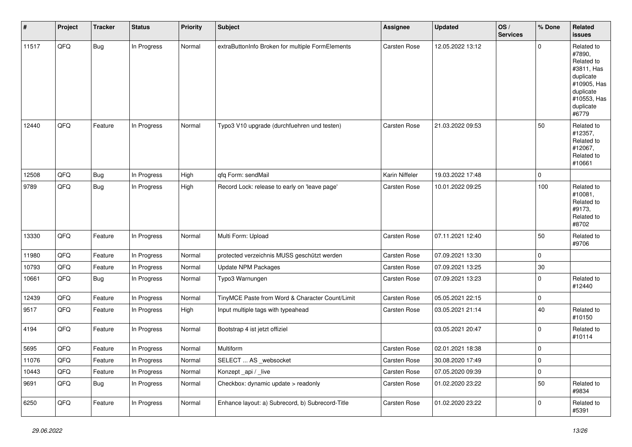| #     | Project | <b>Tracker</b> | <b>Status</b> | <b>Priority</b> | <b>Subject</b>                                   | <b>Assignee</b>     | <b>Updated</b>   | OS/<br><b>Services</b> | % Done              | Related<br>issues                                                                                                              |
|-------|---------|----------------|---------------|-----------------|--------------------------------------------------|---------------------|------------------|------------------------|---------------------|--------------------------------------------------------------------------------------------------------------------------------|
| 11517 | QFQ     | Bug            | In Progress   | Normal          | extraButtonInfo Broken for multiple FormElements | Carsten Rose        | 12.05.2022 13:12 |                        | $\Omega$            | Related to<br>#7890,<br>Related to<br>#3811, Has<br>duplicate<br>#10905, Has<br>duplicate<br>#10553, Has<br>duplicate<br>#6779 |
| 12440 | QFQ     | Feature        | In Progress   | Normal          | Typo3 V10 upgrade (durchfuehren und testen)      | <b>Carsten Rose</b> | 21.03.2022 09:53 |                        | 50                  | Related to<br>#12357,<br>Related to<br>#12067,<br>Related to<br>#10661                                                         |
| 12508 | QFQ     | Bug            | In Progress   | High            | gfg Form: sendMail                               | Karin Niffeler      | 19.03.2022 17:48 |                        | 0                   |                                                                                                                                |
| 9789  | QFQ     | <b>Bug</b>     | In Progress   | High            | Record Lock: release to early on 'leave page'    | Carsten Rose        | 10.01.2022 09:25 |                        | 100                 | Related to<br>#10081,<br>Related to<br>#9173,<br>Related to<br>#8702                                                           |
| 13330 | QFQ     | Feature        | In Progress   | Normal          | Multi Form: Upload                               | Carsten Rose        | 07.11.2021 12:40 |                        | 50                  | Related to<br>#9706                                                                                                            |
| 11980 | QFQ     | Feature        | In Progress   | Normal          | protected verzeichnis MUSS geschützt werden      | Carsten Rose        | 07.09.2021 13:30 |                        | $\mathbf 0$         |                                                                                                                                |
| 10793 | QFQ     | Feature        | In Progress   | Normal          | Update NPM Packages                              | Carsten Rose        | 07.09.2021 13:25 |                        | $30\,$              |                                                                                                                                |
| 10661 | QFQ     | <b>Bug</b>     | In Progress   | Normal          | Typo3 Warnungen                                  | Carsten Rose        | 07.09.2021 13:23 |                        | $\pmb{0}$           | Related to<br>#12440                                                                                                           |
| 12439 | QFQ     | Feature        | In Progress   | Normal          | TinyMCE Paste from Word & Character Count/Limit  | Carsten Rose        | 05.05.2021 22:15 |                        | $\mathbf 0$         |                                                                                                                                |
| 9517  | QFQ     | Feature        | In Progress   | High            | Input multiple tags with typeahead               | Carsten Rose        | 03.05.2021 21:14 |                        | 40                  | Related to<br>#10150                                                                                                           |
| 4194  | QFQ     | Feature        | In Progress   | Normal          | Bootstrap 4 ist jetzt offiziel                   |                     | 03.05.2021 20:47 |                        | $\mathbf 0$         | Related to<br>#10114                                                                                                           |
| 5695  | QFQ     | Feature        | In Progress   | Normal          | Multiform                                        | Carsten Rose        | 02.01.2021 18:38 |                        | $\mathbf 0$         |                                                                                                                                |
| 11076 | QFQ     | Feature        | In Progress   | Normal          | SELECT  AS _websocket                            | Carsten Rose        | 30.08.2020 17:49 |                        | 0                   |                                                                                                                                |
| 10443 | QFQ     | Feature        | In Progress   | Normal          | Konzept_api / _live                              | Carsten Rose        | 07.05.2020 09:39 |                        | $\mathsf{O}\xspace$ |                                                                                                                                |
| 9691  | QFQ     | <b>Bug</b>     | In Progress   | Normal          | Checkbox: dynamic update > readonly              | Carsten Rose        | 01.02.2020 23:22 |                        | 50                  | Related to<br>#9834                                                                                                            |
| 6250  | QFQ     | Feature        | In Progress   | Normal          | Enhance layout: a) Subrecord, b) Subrecord-Title | Carsten Rose        | 01.02.2020 23:22 |                        | $\mathbf 0$         | Related to<br>#5391                                                                                                            |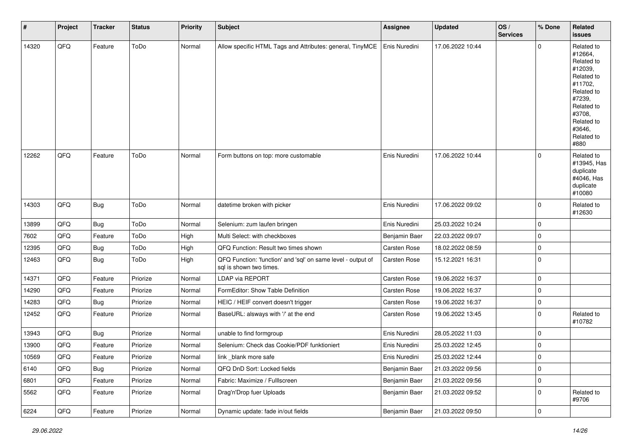| #     | Project | <b>Tracker</b> | <b>Status</b> | <b>Priority</b> | <b>Subject</b>                                                                          | Assignee      | <b>Updated</b>   | OS/<br><b>Services</b> | % Done      | Related<br><b>issues</b>                                                                                                                                              |
|-------|---------|----------------|---------------|-----------------|-----------------------------------------------------------------------------------------|---------------|------------------|------------------------|-------------|-----------------------------------------------------------------------------------------------------------------------------------------------------------------------|
| 14320 | QFQ     | Feature        | ToDo          | Normal          | Allow specific HTML Tags and Attributes: general, TinyMCE                               | Enis Nuredini | 17.06.2022 10:44 |                        | $\mathbf 0$ | Related to<br>#12664,<br>Related to<br>#12039,<br>Related to<br>#11702,<br>Related to<br>#7239,<br>Related to<br>#3708,<br>Related to<br>#3646,<br>Related to<br>#880 |
| 12262 | QFQ     | Feature        | ToDo          | Normal          | Form buttons on top: more customable                                                    | Enis Nuredini | 17.06.2022 10:44 |                        | $\mathbf 0$ | Related to<br>#13945, Has<br>duplicate<br>#4046, Has<br>duplicate<br>#10080                                                                                           |
| 14303 | QFQ     | <b>Bug</b>     | ToDo          | Normal          | datetime broken with picker                                                             | Enis Nuredini | 17.06.2022 09:02 |                        | $\mathbf 0$ | Related to<br>#12630                                                                                                                                                  |
| 13899 | QFQ     | <b>Bug</b>     | ToDo          | Normal          | Selenium: zum laufen bringen                                                            | Enis Nuredini | 25.03.2022 10:24 |                        | $\mathbf 0$ |                                                                                                                                                                       |
| 7602  | QFQ     | Feature        | ToDo          | High            | Multi Select: with checkboxes                                                           | Benjamin Baer | 22.03.2022 09:07 |                        | $\mathbf 0$ |                                                                                                                                                                       |
| 12395 | QFQ     | <b>Bug</b>     | ToDo          | High            | QFQ Function: Result two times shown                                                    | Carsten Rose  | 18.02.2022 08:59 |                        | $\mathbf 0$ |                                                                                                                                                                       |
| 12463 | QFQ     | <b>Bug</b>     | ToDo          | High            | QFQ Function: 'function' and 'sql' on same level - output of<br>sql is shown two times. | Carsten Rose  | 15.12.2021 16:31 |                        | $\mathbf 0$ |                                                                                                                                                                       |
| 14371 | QFQ     | Feature        | Priorize      | Normal          | LDAP via REPORT                                                                         | Carsten Rose  | 19.06.2022 16:37 |                        | $\mathbf 0$ |                                                                                                                                                                       |
| 14290 | QFQ     | Feature        | Priorize      | Normal          | FormEditor: Show Table Definition                                                       | Carsten Rose  | 19.06.2022 16:37 |                        | $\mathbf 0$ |                                                                                                                                                                       |
| 14283 | QFQ     | <b>Bug</b>     | Priorize      | Normal          | HEIC / HEIF convert doesn't trigger                                                     | Carsten Rose  | 19.06.2022 16:37 |                        | $\mathbf 0$ |                                                                                                                                                                       |
| 12452 | QFQ     | Feature        | Priorize      | Normal          | BaseURL: alsways with '/' at the end                                                    | Carsten Rose  | 19.06.2022 13:45 |                        | $\mathbf 0$ | Related to<br>#10782                                                                                                                                                  |
| 13943 | QFQ     | <b>Bug</b>     | Priorize      | Normal          | unable to find formgroup                                                                | Enis Nuredini | 28.05.2022 11:03 |                        | $\mathbf 0$ |                                                                                                                                                                       |
| 13900 | QFQ     | Feature        | Priorize      | Normal          | Selenium: Check das Cookie/PDF funktioniert                                             | Enis Nuredini | 25.03.2022 12:45 |                        | $\mathbf 0$ |                                                                                                                                                                       |
| 10569 | QFG     | Feature        | Priorize      | Normal          | link_blank more safe                                                                    | Enis Nuredini | 25.03.2022 12:44 |                        | $\Omega$    |                                                                                                                                                                       |
| 6140  | QFQ     | <b>Bug</b>     | Priorize      | Normal          | QFQ DnD Sort: Locked fields                                                             | Benjamin Baer | 21.03.2022 09:56 |                        | $\pmb{0}$   |                                                                                                                                                                       |
| 6801  | QFQ     | Feature        | Priorize      | Normal          | Fabric: Maximize / FullIscreen                                                          | Benjamin Baer | 21.03.2022 09:56 |                        | $\pmb{0}$   |                                                                                                                                                                       |
| 5562  | QFQ     | Feature        | Priorize      | Normal          | Drag'n'Drop fuer Uploads                                                                | Benjamin Baer | 21.03.2022 09:52 |                        | $\pmb{0}$   | Related to<br>#9706                                                                                                                                                   |
| 6224  | QFQ     | Feature        | Priorize      | Normal          | Dynamic update: fade in/out fields                                                      | Benjamin Baer | 21.03.2022 09:50 |                        | $\pmb{0}$   |                                                                                                                                                                       |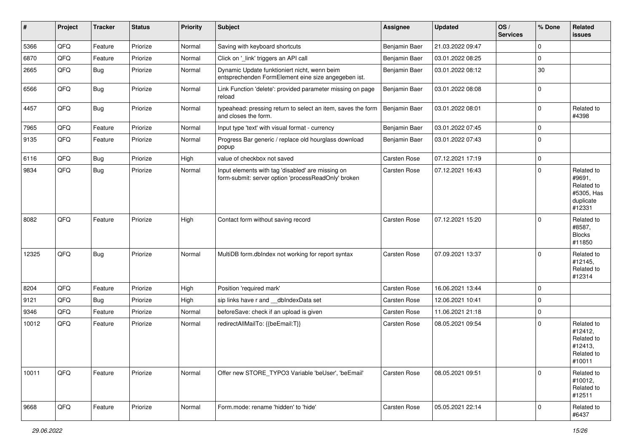| $\vert$ # | Project | <b>Tracker</b> | <b>Status</b> | <b>Priority</b> | <b>Subject</b>                                                                                           | <b>Assignee</b> | <b>Updated</b>   | OS/<br><b>Services</b> | % Done      | Related<br>issues                                                       |
|-----------|---------|----------------|---------------|-----------------|----------------------------------------------------------------------------------------------------------|-----------------|------------------|------------------------|-------------|-------------------------------------------------------------------------|
| 5366      | QFQ     | Feature        | Priorize      | Normal          | Saving with keyboard shortcuts                                                                           | Benjamin Baer   | 21.03.2022 09:47 |                        | 0           |                                                                         |
| 6870      | QFQ     | Feature        | Priorize      | Normal          | Click on '_link' triggers an API call                                                                    | Benjamin Baer   | 03.01.2022 08:25 |                        | 0           |                                                                         |
| 2665      | QFQ     | Bug            | Priorize      | Normal          | Dynamic Update funktioniert nicht, wenn beim<br>entsprechenden FormElement eine size angegeben ist.      | Benjamin Baer   | 03.01.2022 08:12 |                        | 30          |                                                                         |
| 6566      | QFQ     | <b>Bug</b>     | Priorize      | Normal          | Link Function 'delete': provided parameter missing on page<br>reload                                     | Benjamin Baer   | 03.01.2022 08:08 |                        | $\mathbf 0$ |                                                                         |
| 4457      | QFQ     | <b>Bug</b>     | Priorize      | Normal          | typeahead: pressing return to select an item, saves the form<br>and closes the form.                     | Benjamin Baer   | 03.01.2022 08:01 |                        | 0           | Related to<br>#4398                                                     |
| 7965      | QFQ     | Feature        | Priorize      | Normal          | Input type 'text' with visual format - currency                                                          | Benjamin Baer   | 03.01.2022 07:45 |                        | 0           |                                                                         |
| 9135      | QFQ     | Feature        | Priorize      | Normal          | Progress Bar generic / replace old hourglass download<br>popup                                           | Benjamin Baer   | 03.01.2022 07:43 |                        | 0           |                                                                         |
| 6116      | QFQ     | <b>Bug</b>     | Priorize      | High            | value of checkbox not saved                                                                              | Carsten Rose    | 07.12.2021 17:19 |                        | 0           |                                                                         |
| 9834      | QFQ     | <b>Bug</b>     | Priorize      | Normal          | Input elements with tag 'disabled' are missing on<br>form-submit: server option 'processReadOnly' broken | Carsten Rose    | 07.12.2021 16:43 |                        | $\Omega$    | Related to<br>#9691,<br>Related to<br>#5305, Has<br>duplicate<br>#12331 |
| 8082      | QFQ     | Feature        | Priorize      | High            | Contact form without saving record                                                                       | Carsten Rose    | 07.12.2021 15:20 |                        | $\Omega$    | Related to<br>#8587,<br><b>Blocks</b><br>#11850                         |
| 12325     | QFQ     | Bug            | Priorize      | Normal          | MultiDB form.dblndex not working for report syntax                                                       | Carsten Rose    | 07.09.2021 13:37 |                        | $\Omega$    | Related to<br>#12145,<br>Related to<br>#12314                           |
| 8204      | QFQ     | Feature        | Priorize      | High            | Position 'required mark'                                                                                 | Carsten Rose    | 16.06.2021 13:44 |                        | 0           |                                                                         |
| 9121      | QFQ     | Bug            | Priorize      | High            | sip links have r and __dbIndexData set                                                                   | Carsten Rose    | 12.06.2021 10:41 |                        | 0           |                                                                         |
| 9346      | QFQ     | Feature        | Priorize      | Normal          | beforeSave: check if an upload is given                                                                  | Carsten Rose    | 11.06.2021 21:18 |                        | $\mathbf 0$ |                                                                         |
| 10012     | QFQ     | Feature        | Priorize      | Normal          | redirectAllMailTo: {{beEmail:T}}                                                                         | Carsten Rose    | 08.05.2021 09:54 |                        | $\Omega$    | Related to<br>#12412,<br>Related to<br>#12413,<br>Related to<br>#10011  |
| 10011     | QFQ     | Feature        | Priorize      | Normal          | Offer new STORE_TYPO3 Variable 'beUser', 'beEmail'                                                       | Carsten Rose    | 08.05.2021 09:51 |                        | 0           | Related to<br>#10012,<br>Related to<br>#12511                           |
| 9668      | QFQ     | Feature        | Priorize      | Normal          | Form.mode: rename 'hidden' to 'hide'                                                                     | Carsten Rose    | 05.05.2021 22:14 |                        | $\mathbf 0$ | Related to<br>#6437                                                     |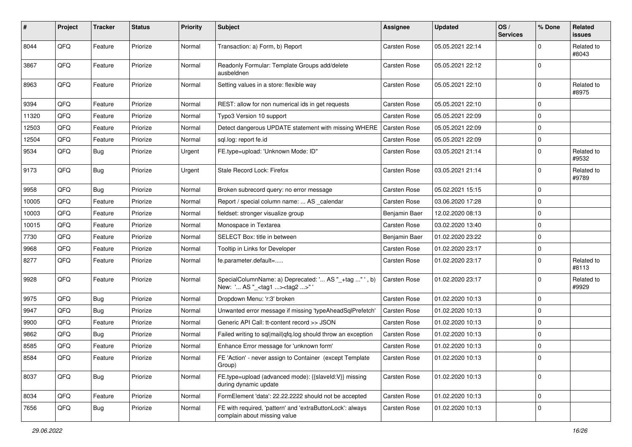| #     | Project        | <b>Tracker</b> | <b>Status</b> | <b>Priority</b> | <b>Subject</b>                                                                                     | <b>Assignee</b>     | <b>Updated</b>   | OS/<br><b>Services</b> | % Done         | Related<br><b>issues</b> |
|-------|----------------|----------------|---------------|-----------------|----------------------------------------------------------------------------------------------------|---------------------|------------------|------------------------|----------------|--------------------------|
| 8044  | QFQ            | Feature        | Priorize      | Normal          | Transaction: a) Form, b) Report                                                                    | <b>Carsten Rose</b> | 05.05.2021 22:14 |                        | $\mathbf 0$    | Related to<br>#8043      |
| 3867  | QFQ            | Feature        | Priorize      | Normal          | Readonly Formular: Template Groups add/delete<br>ausbeldnen                                        | <b>Carsten Rose</b> | 05.05.2021 22:12 |                        | $\overline{0}$ |                          |
| 8963  | QFQ            | Feature        | Priorize      | Normal          | Setting values in a store: flexible way                                                            | Carsten Rose        | 05.05.2021 22:10 |                        | $\mathbf 0$    | Related to<br>#8975      |
| 9394  | QFQ            | Feature        | Priorize      | Normal          | REST: allow for non numerical ids in get requests                                                  | <b>Carsten Rose</b> | 05.05.2021 22:10 |                        | $\overline{0}$ |                          |
| 11320 | QFQ            | Feature        | Priorize      | Normal          | Typo3 Version 10 support                                                                           | Carsten Rose        | 05.05.2021 22:09 |                        | $\mathbf 0$    |                          |
| 12503 | QFQ            | Feature        | Priorize      | Normal          | Detect dangerous UPDATE statement with missing WHERE                                               | <b>Carsten Rose</b> | 05.05.2021 22:09 |                        | 0              |                          |
| 12504 | QFQ            | Feature        | Priorize      | Normal          | sql.log: report fe.id                                                                              | <b>Carsten Rose</b> | 05.05.2021 22:09 |                        | $\mathbf 0$    |                          |
| 9534  | QFQ            | Bug            | Priorize      | Urgent          | FE.type=upload: 'Unknown Mode: ID"                                                                 | Carsten Rose        | 03.05.2021 21:14 |                        | $\overline{0}$ | Related to<br>#9532      |
| 9173  | QFQ            | Bug            | Priorize      | Urgent          | Stale Record Lock: Firefox                                                                         | <b>Carsten Rose</b> | 03.05.2021 21:14 |                        | $\mathbf 0$    | Related to<br>#9789      |
| 9958  | QFQ            | Bug            | Priorize      | Normal          | Broken subrecord query: no error message                                                           | Carsten Rose        | 05.02.2021 15:15 |                        | $\overline{0}$ |                          |
| 10005 | QFQ            | Feature        | Priorize      | Normal          | Report / special column name:  AS _calendar                                                        | Carsten Rose        | 03.06.2020 17:28 |                        | $\mathbf 0$    |                          |
| 10003 | QFQ            | Feature        | Priorize      | Normal          | fieldset: stronger visualize group                                                                 | Benjamin Baer       | 12.02.2020 08:13 |                        | $\mathbf 0$    |                          |
| 10015 | QFQ            | Feature        | Priorize      | Normal          | Monospace in Textarea                                                                              | <b>Carsten Rose</b> | 03.02.2020 13:40 |                        | $\mathbf 0$    |                          |
| 7730  | QFQ            | Feature        | Priorize      | Normal          | SELECT Box: title in between                                                                       | Benjamin Baer       | 01.02.2020 23:22 |                        | $\overline{0}$ |                          |
| 9968  | QFQ            | Feature        | Priorize      | Normal          | Tooltip in Links for Developer                                                                     | <b>Carsten Rose</b> | 01.02.2020 23:17 |                        | $\mathbf 0$    |                          |
| 8277  | QFQ            | Feature        | Priorize      | Normal          | fe.parameter.default=                                                                              | Carsten Rose        | 01.02.2020 23:17 |                        | $\mathbf 0$    | Related to<br>#8113      |
| 9928  | QFQ            | Feature        | Priorize      | Normal          | SpecialColumnName: a) Deprecated: ' AS "_+tag " ', b)<br>New: ' AS "_ <tag1><tag2>"'</tag2></tag1> | Carsten Rose        | 01.02.2020 23:17 |                        | $\overline{0}$ | Related to<br>#9929      |
| 9975  | QFQ            | <b>Bug</b>     | Priorize      | Normal          | Dropdown Menu: 'r:3' broken                                                                        | Carsten Rose        | 01.02.2020 10:13 |                        | $\overline{0}$ |                          |
| 9947  | QFQ            | Bug            | Priorize      | Normal          | Unwanted error message if missing 'typeAheadSqlPrefetch'                                           | <b>Carsten Rose</b> | 01.02.2020 10:13 |                        | $\overline{0}$ |                          |
| 9900  | QFQ            | Feature        | Priorize      | Normal          | Generic API Call: tt-content record >> JSON                                                        | Carsten Rose        | 01.02.2020 10:13 |                        | $\overline{0}$ |                          |
| 9862  | QFQ            | Bug            | Priorize      | Normal          | Failed writing to sql mail qfq.log should throw an exception                                       | <b>Carsten Rose</b> | 01.02.2020 10:13 |                        | $\mathbf 0$    |                          |
| 8585  | QFQ            | Feature        | Priorize      | Normal          | Enhance Error message for 'unknown form'                                                           | Carsten Rose        | 01.02.2020 10:13 |                        | 0              |                          |
| 8584  | $\mathsf{QFQ}$ | Feature        | Priorize      | Normal          | FE 'Action' - never assign to Container (except Template<br>Group)                                 | Carsten Rose        | 01.02.2020 10:13 |                        |                |                          |
| 8037  | QFQ            | Bug            | Priorize      | Normal          | FE.type=upload (advanced mode): {{slaveId:V}} missing<br>during dynamic update                     | Carsten Rose        | 01.02.2020 10:13 |                        | $\overline{0}$ |                          |
| 8034  | QFQ            | Feature        | Priorize      | Normal          | FormElement 'data': 22.22.2222 should not be accepted                                              | Carsten Rose        | 01.02.2020 10:13 |                        | $\overline{0}$ |                          |
| 7656  | QFQ            | <b>Bug</b>     | Priorize      | Normal          | FE with required, 'pattern' and 'extraButtonLock': always<br>complain about missing value          | <b>Carsten Rose</b> | 01.02.2020 10:13 |                        | $\overline{0}$ |                          |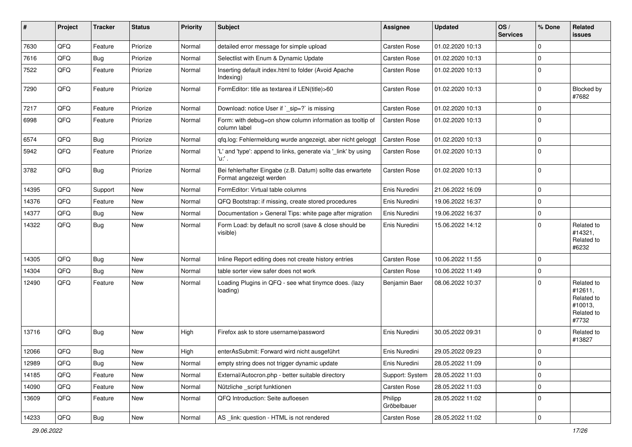| $\vert$ # | Project | <b>Tracker</b> | <b>Status</b> | Priority | Subject                                                                               | <b>Assignee</b>        | Updated          | OS/<br><b>Services</b> | % Done      | <b>Related</b><br>issues                                              |
|-----------|---------|----------------|---------------|----------|---------------------------------------------------------------------------------------|------------------------|------------------|------------------------|-------------|-----------------------------------------------------------------------|
| 7630      | QFQ     | Feature        | Priorize      | Normal   | detailed error message for simple upload                                              | Carsten Rose           | 01.02.2020 10:13 |                        | $\mathbf 0$ |                                                                       |
| 7616      | QFQ     | <b>Bug</b>     | Priorize      | Normal   | Selectlist with Enum & Dynamic Update                                                 | Carsten Rose           | 01.02.2020 10:13 |                        | $\mathbf 0$ |                                                                       |
| 7522      | QFQ     | Feature        | Priorize      | Normal   | Inserting default index.html to folder (Avoid Apache<br>Indexing)                     | <b>Carsten Rose</b>    | 01.02.2020 10:13 |                        | $\mathbf 0$ |                                                                       |
| 7290      | QFQ     | Feature        | Priorize      | Normal   | FormEditor: title as textarea if LEN(title)>60                                        | Carsten Rose           | 01.02.2020 10:13 |                        | $\mathbf 0$ | Blocked by<br>#7682                                                   |
| 7217      | QFQ     | Feature        | Priorize      | Normal   | Download: notice User if `_sip=?` is missing                                          | Carsten Rose           | 01.02.2020 10:13 |                        | $\mathbf 0$ |                                                                       |
| 6998      | QFQ     | Feature        | Priorize      | Normal   | Form: with debug=on show column information as tooltip of<br>column label             | <b>Carsten Rose</b>    | 01.02.2020 10:13 |                        | $\mathbf 0$ |                                                                       |
| 6574      | QFQ     | <b>Bug</b>     | Priorize      | Normal   | qfq.log: Fehlermeldung wurde angezeigt, aber nicht geloggt                            | <b>Carsten Rose</b>    | 01.02.2020 10:13 |                        | $\mathbf 0$ |                                                                       |
| 5942      | QFQ     | Feature        | Priorize      | Normal   | 'L' and 'type': append to links, generate via '_link' by using<br>'u:' .              | Carsten Rose           | 01.02.2020 10:13 |                        | $\Omega$    |                                                                       |
| 3782      | QFQ     | <b>Bug</b>     | Priorize      | Normal   | Bei fehlerhafter Eingabe (z.B. Datum) sollte das erwartete<br>Format angezeigt werden | Carsten Rose           | 01.02.2020 10:13 |                        | $\mathbf 0$ |                                                                       |
| 14395     | QFQ     | Support        | New           | Normal   | FormEditor: Virtual table columns                                                     | Enis Nuredini          | 21.06.2022 16:09 |                        | $\mathbf 0$ |                                                                       |
| 14376     | QFQ     | Feature        | New           | Normal   | QFQ Bootstrap: if missing, create stored procedures                                   | Enis Nuredini          | 19.06.2022 16:37 |                        | $\mathbf 0$ |                                                                       |
| 14377     | QFQ     | <b>Bug</b>     | New           | Normal   | Documentation > General Tips: white page after migration                              | Enis Nuredini          | 19.06.2022 16:37 |                        | $\mathbf 0$ |                                                                       |
| 14322     | QFQ     | <b>Bug</b>     | New           | Normal   | Form Load: by default no scroll (save & close should be<br>visible)                   | Enis Nuredini          | 15.06.2022 14:12 |                        | $\mathbf 0$ | Related to<br>#14321,<br>Related to<br>#6232                          |
| 14305     | QFQ     | <b>Bug</b>     | New           | Normal   | Inline Report editing does not create history entries                                 | Carsten Rose           | 10.06.2022 11:55 |                        | $\Omega$    |                                                                       |
| 14304     | QFQ     | Bug            | New           | Normal   | table sorter view safer does not work                                                 | Carsten Rose           | 10.06.2022 11:49 |                        | $\mathbf 0$ |                                                                       |
| 12490     | QFQ     | Feature        | New           | Normal   | Loading Plugins in QFQ - see what tinymce does. (lazy<br>loading)                     | Benjamin Baer          | 08.06.2022 10:37 |                        | $\Omega$    | Related to<br>#12611,<br>Related to<br>#10013,<br>Related to<br>#7732 |
| 13716     | QFQ     | <b>Bug</b>     | New           | High     | Firefox ask to store username/password                                                | Enis Nuredini          | 30.05.2022 09:31 |                        | $\mathbf 0$ | Related to<br>#13827                                                  |
| 12066     | QFQ     | <b>Bug</b>     | New           | High     | enterAsSubmit: Forward wird nicht ausgeführt                                          | Enis Nuredini          | 29.05.2022 09:23 |                        | $\mathbf 0$ |                                                                       |
| 12989     | QFQ     | <b>Bug</b>     | New           | Normal   | empty string does not trigger dynamic update                                          | Enis Nuredini          | 28.05.2022 11:09 |                        | 0           |                                                                       |
| 14185     | QFQ     | Feature        | New           | Normal   | External/Autocron.php - better suitable directory                                     | Support: System        | 28.05.2022 11:03 |                        | $\mathbf 0$ |                                                                       |
| 14090     | QFQ     | Feature        | New           | Normal   | Nützliche script funktionen                                                           | Carsten Rose           | 28.05.2022 11:03 |                        | 0           |                                                                       |
| 13609     | QFQ     | Feature        | New           | Normal   | QFQ Introduction: Seite aufloesen                                                     | Philipp<br>Gröbelbauer | 28.05.2022 11:02 |                        | $\mathbf 0$ |                                                                       |
| 14233     | QFG     | Bug            | New           | Normal   | AS _link: question - HTML is not rendered                                             | Carsten Rose           | 28.05.2022 11:02 |                        | $\mathbf 0$ |                                                                       |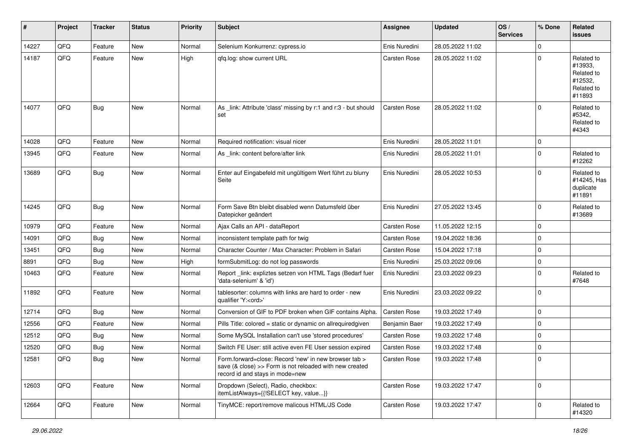| #     | Project | <b>Tracker</b> | <b>Status</b> | Priority | Subject                                                                                                                                             | <b>Assignee</b> | <b>Updated</b>   | OS/<br><b>Services</b> | % Done      | Related<br>issues                                                      |
|-------|---------|----------------|---------------|----------|-----------------------------------------------------------------------------------------------------------------------------------------------------|-----------------|------------------|------------------------|-------------|------------------------------------------------------------------------|
| 14227 | QFQ     | Feature        | New           | Normal   | Selenium Konkurrenz: cypress.io                                                                                                                     | Enis Nuredini   | 28.05.2022 11:02 |                        | $\mathbf 0$ |                                                                        |
| 14187 | QFQ     | Feature        | <b>New</b>    | High     | gfg.log: show current URL                                                                                                                           | Carsten Rose    | 28.05.2022 11:02 |                        | $\Omega$    | Related to<br>#13933,<br>Related to<br>#12532,<br>Related to<br>#11893 |
| 14077 | QFQ     | <b>Bug</b>     | <b>New</b>    | Normal   | As _link: Attribute 'class' missing by r:1 and r:3 - but should<br>set                                                                              | Carsten Rose    | 28.05.2022 11:02 |                        | $\Omega$    | Related to<br>#5342,<br>Related to<br>#4343                            |
| 14028 | QFQ     | Feature        | <b>New</b>    | Normal   | Required notification: visual nicer                                                                                                                 | Enis Nuredini   | 28.05.2022 11:01 |                        | $\mathbf 0$ |                                                                        |
| 13945 | QFQ     | Feature        | <b>New</b>    | Normal   | As _link: content before/after link                                                                                                                 | Enis Nuredini   | 28.05.2022 11:01 |                        | $\mathbf 0$ | Related to<br>#12262                                                   |
| 13689 | QFQ     | <b>Bug</b>     | <b>New</b>    | Normal   | Enter auf Eingabefeld mit ungültigem Wert führt zu blurry<br>Seite                                                                                  | Enis Nuredini   | 28.05.2022 10:53 |                        | $\Omega$    | Related to<br>#14245, Has<br>duplicate<br>#11891                       |
| 14245 | QFQ     | <b>Bug</b>     | New           | Normal   | Form Save Btn bleibt disabled wenn Datumsfeld über<br>Datepicker geändert                                                                           | Enis Nuredini   | 27.05.2022 13:45 |                        | $\Omega$    | Related to<br>#13689                                                   |
| 10979 | QFQ     | Feature        | New           | Normal   | Ajax Calls an API - dataReport                                                                                                                      | Carsten Rose    | 11.05.2022 12:15 |                        | $\mathbf 0$ |                                                                        |
| 14091 | QFQ     | <b>Bug</b>     | <b>New</b>    | Normal   | inconsistent template path for twig                                                                                                                 | Carsten Rose    | 19.04.2022 18:36 |                        | $\Omega$    |                                                                        |
| 13451 | QFQ     | <b>Bug</b>     | <b>New</b>    | Normal   | Character Counter / Max Character: Problem in Safari                                                                                                | Carsten Rose    | 15.04.2022 17:18 |                        | $\Omega$    |                                                                        |
| 8891  | QFQ     | <b>Bug</b>     | New           | High     | formSubmitLog: do not log passwords                                                                                                                 | Enis Nuredini   | 25.03.2022 09:06 |                        | 0           |                                                                        |
| 10463 | QFQ     | Feature        | <b>New</b>    | Normal   | Report_link: expliztes setzen von HTML Tags (Bedarf fuer<br>'data-selenium' & 'id')                                                                 | Enis Nuredini   | 23.03.2022 09:23 |                        | $\mathbf 0$ | Related to<br>#7648                                                    |
| 11892 | QFQ     | Feature        | New           | Normal   | tablesorter: columns with links are hard to order - new<br>qualifier 'Y: <ord>'</ord>                                                               | Enis Nuredini   | 23.03.2022 09:22 |                        | $\Omega$    |                                                                        |
| 12714 | QFQ     | <b>Bug</b>     | New           | Normal   | Conversion of GIF to PDF broken when GIF contains Alpha.                                                                                            | Carsten Rose    | 19.03.2022 17:49 |                        | $\mathbf 0$ |                                                                        |
| 12556 | QFQ     | Feature        | <b>New</b>    | Normal   | Pills Title: colored = static or dynamic on allrequiredgiven                                                                                        | Benjamin Baer   | 19.03.2022 17:49 |                        | $\mathbf 0$ |                                                                        |
| 12512 | QFQ     | <b>Bug</b>     | New           | Normal   | Some MySQL Installation can't use 'stored procedures'                                                                                               | Carsten Rose    | 19.03.2022 17:48 |                        | $\mathbf 0$ |                                                                        |
| 12520 | QFQ     | <b>Bug</b>     | New           | Normal   | Switch FE User: still active even FE User session expired                                                                                           | Carsten Rose    | 19.03.2022 17:48 |                        | 0           |                                                                        |
| 12581 | QFQ     | IBug           | New           | Normal   | Form.forward=close: Record 'new' in new browser tab ><br>save (& close) >> Form is not reloaded with new created<br>record id and stays in mode=new | Carsten Rose    | 19.03.2022 17:48 |                        | 0           |                                                                        |
| 12603 | QFQ     | Feature        | New           | Normal   | Dropdown (Select), Radio, checkbox:<br>itemListAlways={{!SELECT key, value}}                                                                        | Carsten Rose    | 19.03.2022 17:47 |                        | $\mathbf 0$ |                                                                        |
| 12664 | QFQ     | Feature        | New           | Normal   | TinyMCE: report/remove malicous HTML/JS Code                                                                                                        | Carsten Rose    | 19.03.2022 17:47 |                        | 0           | Related to<br>#14320                                                   |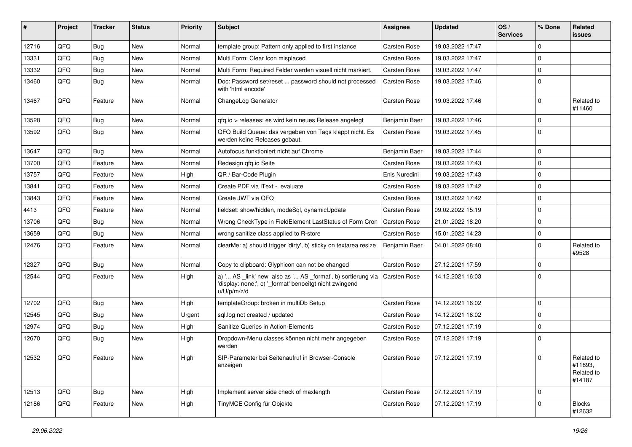| #     | Project | <b>Tracker</b> | <b>Status</b> | <b>Priority</b> | <b>Subject</b>                                                                                                                        | <b>Assignee</b>     | <b>Updated</b>   | OS/<br><b>Services</b> | % Done              | Related<br>issues                             |
|-------|---------|----------------|---------------|-----------------|---------------------------------------------------------------------------------------------------------------------------------------|---------------------|------------------|------------------------|---------------------|-----------------------------------------------|
| 12716 | QFQ     | <b>Bug</b>     | New           | Normal          | template group: Pattern only applied to first instance                                                                                | Carsten Rose        | 19.03.2022 17:47 |                        | $\Omega$            |                                               |
| 13331 | QFQ     | Bug            | New           | Normal          | Multi Form: Clear Icon misplaced                                                                                                      | <b>Carsten Rose</b> | 19.03.2022 17:47 |                        | $\mathbf 0$         |                                               |
| 13332 | QFQ     | <b>Bug</b>     | <b>New</b>    | Normal          | Multi Form: Required Felder werden visuell nicht markiert.                                                                            | Carsten Rose        | 19.03.2022 17:47 |                        | $\mathbf 0$         |                                               |
| 13460 | QFQ     | Bug            | New           | Normal          | Doc: Password set/reset  password should not processed<br>with 'html encode'                                                          | <b>Carsten Rose</b> | 19.03.2022 17:46 |                        | $\mathbf 0$         |                                               |
| 13467 | QFQ     | Feature        | New           | Normal          | ChangeLog Generator                                                                                                                   | <b>Carsten Rose</b> | 19.03.2022 17:46 |                        | $\mathbf 0$         | Related to<br>#11460                          |
| 13528 | QFQ     | <b>Bug</b>     | <b>New</b>    | Normal          | qfq.io > releases: es wird kein neues Release angelegt                                                                                | Benjamin Baer       | 19.03.2022 17:46 |                        | $\mathbf 0$         |                                               |
| 13592 | QFQ     | Bug            | New           | Normal          | QFQ Build Queue: das vergeben von Tags klappt nicht. Es<br>werden keine Releases gebaut.                                              | <b>Carsten Rose</b> | 19.03.2022 17:45 |                        | $\mathbf 0$         |                                               |
| 13647 | QFQ     | <b>Bug</b>     | New           | Normal          | Autofocus funktioniert nicht auf Chrome                                                                                               | Benjamin Baer       | 19.03.2022 17:44 |                        | $\mathbf 0$         |                                               |
| 13700 | QFQ     | Feature        | <b>New</b>    | Normal          | Redesign qfq.io Seite                                                                                                                 | Carsten Rose        | 19.03.2022 17:43 |                        | $\mathbf 0$         |                                               |
| 13757 | QFQ     | Feature        | New           | High            | QR / Bar-Code Plugin                                                                                                                  | Enis Nuredini       | 19.03.2022 17:43 |                        | $\mathbf 0$         |                                               |
| 13841 | QFQ     | Feature        | New           | Normal          | Create PDF via iText - evaluate                                                                                                       | <b>Carsten Rose</b> | 19.03.2022 17:42 |                        | $\mathbf 0$         |                                               |
| 13843 | QFQ     | Feature        | New           | Normal          | Create JWT via QFQ                                                                                                                    | Carsten Rose        | 19.03.2022 17:42 |                        | $\mathbf 0$         |                                               |
| 4413  | QFQ     | Feature        | New           | Normal          | fieldset: show/hidden, modeSql, dynamicUpdate                                                                                         | <b>Carsten Rose</b> | 09.02.2022 15:19 |                        | $\mathbf 0$         |                                               |
| 13706 | QFQ     | <b>Bug</b>     | New           | Normal          | Wrong CheckType in FieldElement LastStatus of Form Cron                                                                               | <b>Carsten Rose</b> | 21.01.2022 18:20 |                        | $\mathbf 0$         |                                               |
| 13659 | QFQ     | <b>Bug</b>     | New           | Normal          | wrong sanitize class applied to R-store                                                                                               | <b>Carsten Rose</b> | 15.01.2022 14:23 |                        | $\mathbf 0$         |                                               |
| 12476 | QFQ     | Feature        | New           | Normal          | clearMe: a) should trigger 'dirty', b) sticky on textarea resize                                                                      | Benjamin Baer       | 04.01.2022 08:40 |                        | $\mathbf 0$         | Related to<br>#9528                           |
| 12327 | QFQ     | <b>Bug</b>     | New           | Normal          | Copy to clipboard: Glyphicon can not be changed                                                                                       | Carsten Rose        | 27.12.2021 17:59 |                        | $\mathbf 0$         |                                               |
| 12544 | QFQ     | Feature        | New           | High            | a) ' AS _link' new also as ' AS _format', b) sortierung via<br>'display: none;', c) '_format' benoeitgt nicht zwingend<br>u/U/p/m/z/d | <b>Carsten Rose</b> | 14.12.2021 16:03 |                        | $\mathbf 0$         |                                               |
| 12702 | QFQ     | <b>Bug</b>     | New           | High            | templateGroup: broken in multiDb Setup                                                                                                | Carsten Rose        | 14.12.2021 16:02 |                        | $\mathbf 0$         |                                               |
| 12545 | QFQ     | <b>Bug</b>     | <b>New</b>    | Urgent          | sql.log not created / updated                                                                                                         | <b>Carsten Rose</b> | 14.12.2021 16:02 |                        | $\mathbf 0$         |                                               |
| 12974 | QFQ     | <b>Bug</b>     | New           | High            | Sanitize Queries in Action-Elements                                                                                                   | <b>Carsten Rose</b> | 07.12.2021 17:19 |                        | $\mathbf 0$         |                                               |
| 12670 | QFQ     | Bug            | New           | High            | Dropdown-Menu classes können nicht mehr angegeben<br>werden                                                                           | <b>Carsten Rose</b> | 07.12.2021 17:19 |                        | $\mathbf 0$         |                                               |
| 12532 | QFQ     | Feature        | New           | High            | SIP-Parameter bei Seitenaufruf in Browser-Console<br>anzeigen                                                                         | Carsten Rose        | 07.12.2021 17:19 |                        | $\mathsf{O}\xspace$ | Related to<br>#11893,<br>Related to<br>#14187 |
| 12513 | QFQ     | Bug            | New           | High            | Implement server side check of maxlength                                                                                              | Carsten Rose        | 07.12.2021 17:19 |                        | $\mathbf 0$         |                                               |
| 12186 | QFQ     | Feature        | New           | High            | TinyMCE Config für Objekte                                                                                                            | Carsten Rose        | 07.12.2021 17:19 |                        | $\mathbf 0$         | <b>Blocks</b><br>#12632                       |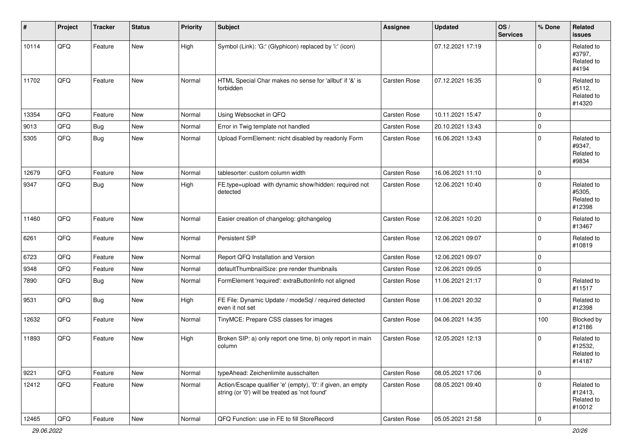| ∦     | Project | <b>Tracker</b> | <b>Status</b> | <b>Priority</b> | Subject                                                                                                        | <b>Assignee</b> | <b>Updated</b>   | OS/<br><b>Services</b> | % Done         | Related<br>issues                             |
|-------|---------|----------------|---------------|-----------------|----------------------------------------------------------------------------------------------------------------|-----------------|------------------|------------------------|----------------|-----------------------------------------------|
| 10114 | QFQ     | Feature        | New           | High            | Symbol (Link): 'G:' (Glyphicon) replaced by 'i:' (icon)                                                        |                 | 07.12.2021 17:19 |                        | $\Omega$       | Related to<br>#3797,<br>Related to<br>#4194   |
| 11702 | QFQ     | Feature        | <b>New</b>    | Normal          | HTML Special Char makes no sense for 'allbut' if '&' is<br>forbidden                                           | Carsten Rose    | 07.12.2021 16:35 |                        | $\Omega$       | Related to<br>#5112,<br>Related to<br>#14320  |
| 13354 | QFQ     | Feature        | New           | Normal          | Using Websocket in QFQ                                                                                         | Carsten Rose    | 10.11.2021 15:47 |                        | $\mathbf 0$    |                                               |
| 9013  | QFQ     | Bug            | New           | Normal          | Error in Twig template not handled                                                                             | Carsten Rose    | 20.10.2021 13:43 |                        | 0              |                                               |
| 5305  | QFQ     | <b>Bug</b>     | New           | Normal          | Upload FormElement: nicht disabled by readonly Form                                                            | Carsten Rose    | 16.06.2021 13:43 |                        | 0              | Related to<br>#9347,<br>Related to<br>#9834   |
| 12679 | QFQ     | Feature        | <b>New</b>    | Normal          | tablesorter: custom column width                                                                               | Carsten Rose    | 16.06.2021 11:10 |                        | $\overline{0}$ |                                               |
| 9347  | QFQ     | Bug            | New           | High            | FE.type=upload with dynamic show/hidden: required not<br>detected                                              | Carsten Rose    | 12.06.2021 10:40 |                        | $\Omega$       | Related to<br>#5305,<br>Related to<br>#12398  |
| 11460 | QFQ     | Feature        | New           | Normal          | Easier creation of changelog: gitchangelog                                                                     | Carsten Rose    | 12.06.2021 10:20 |                        | 0              | Related to<br>#13467                          |
| 6261  | QFQ     | Feature        | New           | Normal          | Persistent SIP                                                                                                 | Carsten Rose    | 12.06.2021 09:07 |                        | $\Omega$       | Related to<br>#10819                          |
| 6723  | QFQ     | Feature        | <b>New</b>    | Normal          | Report QFQ Installation and Version                                                                            | Carsten Rose    | 12.06.2021 09:07 |                        | 0              |                                               |
| 9348  | QFQ     | Feature        | New           | Normal          | defaultThumbnailSize: pre render thumbnails                                                                    | Carsten Rose    | 12.06.2021 09:05 |                        | 0              |                                               |
| 7890  | QFQ     | Bug            | New           | Normal          | FormElement 'required': extraButtonInfo not aligned                                                            | Carsten Rose    | 11.06.2021 21:17 |                        | $\Omega$       | Related to<br>#11517                          |
| 9531  | QFQ     | <b>Bug</b>     | <b>New</b>    | High            | FE File: Dynamic Update / modeSql / required detected<br>even it not set                                       | Carsten Rose    | 11.06.2021 20:32 |                        | $\Omega$       | Related to<br>#12398                          |
| 12632 | QFQ     | Feature        | <b>New</b>    | Normal          | TinyMCE: Prepare CSS classes for images                                                                        | Carsten Rose    | 04.06.2021 14:35 |                        | 100            | Blocked by<br>#12186                          |
| 11893 | QFQ     | Feature        | <b>New</b>    | High            | Broken SIP: a) only report one time, b) only report in main<br>column                                          | Carsten Rose    | 12.05.2021 12:13 |                        | $\Omega$       | Related to<br>#12532,<br>Related to<br>#14187 |
| 9221  | QFQ     | Feature        | <b>New</b>    | Normal          | typeAhead: Zeichenlimite ausschalten                                                                           | Carsten Rose    | 08.05.2021 17:06 |                        | 0              |                                               |
| 12412 | QFQ     | Feature        | New           | Normal          | Action/Escape qualifier 'e' (empty), '0': if given, an empty<br>string (or '0') will be treated as 'not found' | Carsten Rose    | 08.05.2021 09:40 |                        | 0              | Related to<br>#12413.<br>Related to<br>#10012 |
| 12465 | QFQ     | Feature        | New           | Normal          | QFQ Function: use in FE to fill StoreRecord                                                                    | Carsten Rose    | 05.05.2021 21:58 |                        | $\pmb{0}$      |                                               |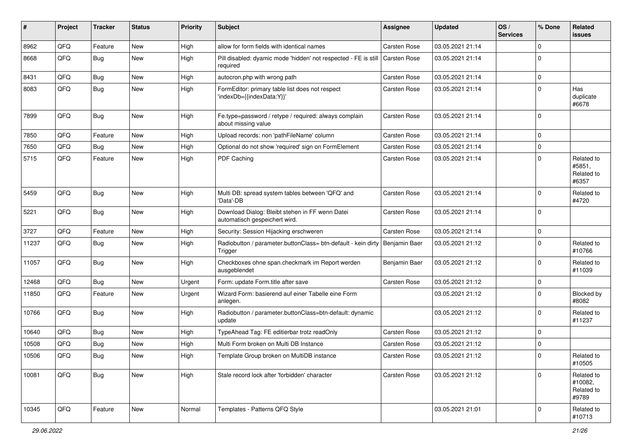| #     | Project | <b>Tracker</b> | <b>Status</b> | <b>Priority</b> | Subject                                                                                | <b>Assignee</b>     | <b>Updated</b>   | OS/<br><b>Services</b> | % Done      | Related<br><b>issues</b>                     |
|-------|---------|----------------|---------------|-----------------|----------------------------------------------------------------------------------------|---------------------|------------------|------------------------|-------------|----------------------------------------------|
| 8962  | QFQ     | Feature        | <b>New</b>    | High            | allow for form fields with identical names                                             | Carsten Rose        | 03.05.2021 21:14 |                        | $\Omega$    |                                              |
| 8668  | QFQ     | Bug            | <b>New</b>    | High            | Pill disabled: dyamic mode 'hidden' not respected - FE is still<br>required            | <b>Carsten Rose</b> | 03.05.2021 21:14 |                        | $\Omega$    |                                              |
| 8431  | QFQ     | Bug            | New           | High            | autocron.php with wrong path                                                           | Carsten Rose        | 03.05.2021 21:14 |                        | 0           |                                              |
| 8083  | QFQ     | <b>Bug</b>     | New           | High            | FormEditor: primary table list does not respect<br>'indexDb={{indexData:Y}}'           | Carsten Rose        | 03.05.2021 21:14 |                        | $\mathbf 0$ | Has<br>duplicate<br>#6678                    |
| 7899  | QFQ     | Bug            | <b>New</b>    | High            | Fe.type=password / retype / required: always complain<br>about missing value           | Carsten Rose        | 03.05.2021 21:14 |                        | $\Omega$    |                                              |
| 7850  | QFQ     | Feature        | <b>New</b>    | High            | Upload records: non 'pathFileName' column                                              | Carsten Rose        | 03.05.2021 21:14 |                        | $\mathbf 0$ |                                              |
| 7650  | QFQ     | <b>Bug</b>     | <b>New</b>    | High            | Optional do not show 'required' sign on FormElement                                    | Carsten Rose        | 03.05.2021 21:14 |                        | $\mathbf 0$ |                                              |
| 5715  | QFQ     | Feature        | New           | High            | PDF Caching                                                                            | Carsten Rose        | 03.05.2021 21:14 |                        | $\mathbf 0$ | Related to<br>#5851,<br>Related to<br>#6357  |
| 5459  | QFQ     | <b>Bug</b>     | <b>New</b>    | High            | Multi DB: spread system tables between 'QFQ' and<br>'Data'-DB                          | Carsten Rose        | 03.05.2021 21:14 |                        | 0           | Related to<br>#4720                          |
| 5221  | QFQ     | Bug            | New           | High            | Download Dialog: Bleibt stehen in FF wenn Datei<br>automatisch gespeichert wird.       | Carsten Rose        | 03.05.2021 21:14 |                        | $\mathbf 0$ |                                              |
| 3727  | QFQ     | Feature        | New           | High            | Security: Session Hijacking erschweren                                                 | Carsten Rose        | 03.05.2021 21:14 |                        | $\mathbf 0$ |                                              |
| 11237 | QFQ     | Bug            | <b>New</b>    | High            | Radiobutton / parameter.buttonClass= btn-default - kein dirty Benjamin Baer<br>Trigger |                     | 03.05.2021 21:12 |                        | $\mathbf 0$ | Related to<br>#10766                         |
| 11057 | QFQ     | Bug            | <b>New</b>    | High            | Checkboxes ohne span.checkmark im Report werden<br>ausgeblendet                        | Benjamin Baer       | 03.05.2021 21:12 |                        | $\mathbf 0$ | Related to<br>#11039                         |
| 12468 | QFQ     | Bug            | <b>New</b>    | Urgent          | Form: update Form.title after save                                                     | Carsten Rose        | 03.05.2021 21:12 |                        | 0           |                                              |
| 11850 | QFQ     | Feature        | <b>New</b>    | Urgent          | Wizard Form: basierend auf einer Tabelle eine Form<br>anlegen.                         |                     | 03.05.2021 21:12 |                        | $\mathbf 0$ | Blocked by<br>#8082                          |
| 10766 | QFQ     | Bug            | <b>New</b>    | High            | Radiobutton / parameter.buttonClass=btn-default: dynamic<br>update                     |                     | 03.05.2021 21:12 |                        | $\mathbf 0$ | Related to<br>#11237                         |
| 10640 | QFQ     | Bug            | <b>New</b>    | High            | TypeAhead Tag: FE editierbar trotz readOnly                                            | Carsten Rose        | 03.05.2021 21:12 |                        | $\mathbf 0$ |                                              |
| 10508 | QFQ     | <b>Bug</b>     | <b>New</b>    | High            | Multi Form broken on Multi DB Instance                                                 | Carsten Rose        | 03.05.2021 21:12 |                        | $\mathbf 0$ |                                              |
| 10506 | QFQ     | Bug            | <b>New</b>    | High            | Template Group broken on MultiDB instance                                              | Carsten Rose        | 03.05.2021 21:12 |                        | $\Omega$    | Related to<br>#10505                         |
| 10081 | QFQ     | <b>Bug</b>     | New           | High            | Stale record lock after 'forbidden' character                                          | Carsten Rose        | 03.05.2021 21:12 |                        | $\Omega$    | Related to<br>#10082,<br>Related to<br>#9789 |
| 10345 | QFQ     | Feature        | New           | Normal          | Templates - Patterns QFQ Style                                                         |                     | 03.05.2021 21:01 |                        | $\mathbf 0$ | Related to<br>#10713                         |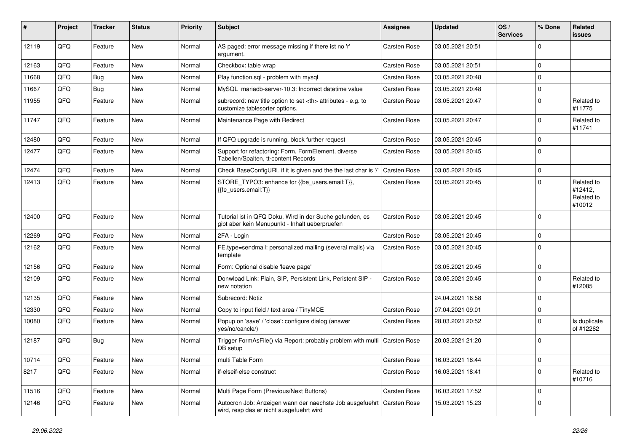| ∦     | Project | <b>Tracker</b> | <b>Status</b> | <b>Priority</b> | Subject                                                                                                             | <b>Assignee</b>                                        | <b>Updated</b>   | OS/<br><b>Services</b> | % Done         | Related<br><b>issues</b>                      |                      |
|-------|---------|----------------|---------------|-----------------|---------------------------------------------------------------------------------------------------------------------|--------------------------------------------------------|------------------|------------------------|----------------|-----------------------------------------------|----------------------|
| 12119 | QFQ     | Feature        | New           | Normal          | AS paged: error message missing if there ist no 'r'<br>argument.                                                    | Carsten Rose                                           | 03.05.2021 20:51 |                        | $\mathbf 0$    |                                               |                      |
| 12163 | QFQ     | Feature        | New           | Normal          | Checkbox: table wrap                                                                                                | Carsten Rose                                           | 03.05.2021 20:51 |                        | $\mathbf 0$    |                                               |                      |
| 11668 | QFQ     | Bug            | <b>New</b>    | Normal          | Play function.sql - problem with mysql                                                                              | Carsten Rose                                           | 03.05.2021 20:48 |                        | $\mathbf 0$    |                                               |                      |
| 11667 | QFQ     | <b>Bug</b>     | <b>New</b>    | Normal          | MySQL mariadb-server-10.3: Incorrect datetime value                                                                 | <b>Carsten Rose</b>                                    | 03.05.2021 20:48 |                        | $\mathbf 0$    |                                               |                      |
| 11955 | QFQ     | Feature        | <b>New</b>    | Normal          | subrecord: new title option to set <th> attributes - e.g. to<br/>customize tablesorter options.</th>                | attributes - e.g. to<br>customize tablesorter options. | Carsten Rose     | 03.05.2021 20:47       |                | $\Omega$                                      | Related to<br>#11775 |
| 11747 | QFQ     | Feature        | New           | Normal          | Maintenance Page with Redirect                                                                                      | <b>Carsten Rose</b>                                    | 03.05.2021 20:47 |                        | $\mathbf 0$    | Related to<br>#11741                          |                      |
| 12480 | QFQ     | Feature        | <b>New</b>    | Normal          | If QFQ upgrade is running, block further request                                                                    | Carsten Rose                                           | 03.05.2021 20:45 |                        | $\mathbf 0$    |                                               |                      |
| 12477 | QFQ     | Feature        | New           | Normal          | Support for refactoring: Form, FormElement, diverse<br>Tabellen/Spalten, tt-content Records                         | Carsten Rose                                           | 03.05.2021 20:45 |                        | $\mathbf 0$    |                                               |                      |
| 12474 | QFQ     | Feature        | <b>New</b>    | Normal          | Check BaseConfigURL if it is given and the the last char is '/'                                                     | <b>Carsten Rose</b>                                    | 03.05.2021 20:45 |                        | $\mathbf 0$    |                                               |                      |
| 12413 | QFQ     | Feature        | New           | Normal          | STORE_TYPO3: enhance for {{be_users.email:T}},<br>{{fe users.email:T}}                                              | <b>Carsten Rose</b>                                    | 03.05.2021 20:45 |                        | $\Omega$       | Related to<br>#12412,<br>Related to<br>#10012 |                      |
| 12400 | QFQ     | Feature        | New           | Normal          | Tutorial ist in QFQ Doku, Wird in der Suche gefunden, es<br>gibt aber kein Menupunkt - Inhalt ueberpruefen          | <b>Carsten Rose</b>                                    | 03.05.2021 20:45 |                        | $\overline{0}$ |                                               |                      |
| 12269 | QFQ     | Feature        | <b>New</b>    | Normal          | 2FA - Login                                                                                                         | Carsten Rose                                           | 03.05.2021 20:45 |                        | $\mathbf 0$    |                                               |                      |
| 12162 | QFQ     | Feature        | New           | Normal          | FE.type=sendmail: personalized mailing (several mails) via<br>template                                              | <b>Carsten Rose</b>                                    | 03.05.2021 20:45 |                        | $\overline{0}$ |                                               |                      |
| 12156 | QFQ     | Feature        | New           | Normal          | Form: Optional disable 'leave page'                                                                                 |                                                        | 03.05.2021 20:45 |                        | $\mathbf 0$    |                                               |                      |
| 12109 | QFQ     | Feature        | <b>New</b>    | Normal          | Donwload Link: Plain, SIP, Persistent Link, Peristent SIP -<br>new notation                                         | <b>Carsten Rose</b>                                    | 03.05.2021 20:45 |                        | $\mathbf 0$    | Related to<br>#12085                          |                      |
| 12135 | QFQ     | Feature        | <b>New</b>    | Normal          | Subrecord: Notiz                                                                                                    |                                                        | 24.04.2021 16:58 |                        | $\mathbf 0$    |                                               |                      |
| 12330 | QFQ     | Feature        | New           | Normal          | Copy to input field / text area / TinyMCE                                                                           | Carsten Rose                                           | 07.04.2021 09:01 |                        | $\mathbf 0$    |                                               |                      |
| 10080 | QFQ     | Feature        | New           | Normal          | Popup on 'save' / 'close': configure dialog (answer<br>yes/no/cancle/)                                              | <b>Carsten Rose</b>                                    | 28.03.2021 20:52 |                        | $\Omega$       | Is duplicate<br>of #12262                     |                      |
| 12187 | QFQ     | Bug            | New           | Normal          | Trigger FormAsFile() via Report: probably problem with multi   Carsten Rose<br>DB setup                             |                                                        | 20.03.2021 21:20 |                        | $\overline{0}$ |                                               |                      |
| 10714 | QFQ     | Feature        | New           | Normal          | multi Table Form                                                                                                    | Carsten Rose                                           | 16.03.2021 18:44 |                        | 0              |                                               |                      |
| 8217  | QFQ     | Feature        | New           | Normal          | if-elseif-else construct                                                                                            | Carsten Rose                                           | 16.03.2021 18:41 |                        | $\mathbf 0$    | Related to<br>#10716                          |                      |
| 11516 | QFQ     | Feature        | New           | Normal          | Multi Page Form (Previous/Next Buttons)                                                                             | Carsten Rose                                           | 16.03.2021 17:52 |                        | $\mathbf 0$    |                                               |                      |
| 12146 | QFQ     | Feature        | New           | Normal          | Autocron Job: Anzeigen wann der naechste Job ausgefuehrt   Carsten Rose<br>wird, resp das er nicht ausgefuehrt wird |                                                        | 15.03.2021 15:23 |                        | $\overline{0}$ |                                               |                      |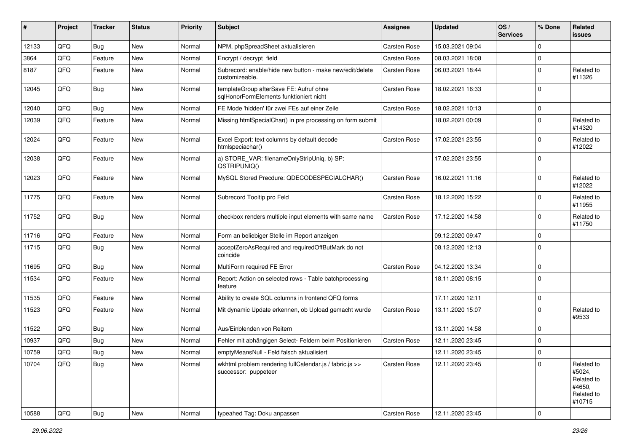| #     | Project | <b>Tracker</b> | <b>Status</b> | <b>Priority</b> | Subject                                                                            | <b>Assignee</b> | <b>Updated</b>   | OS/<br><b>Services</b> | % Done      | Related<br><b>issues</b>                                             |
|-------|---------|----------------|---------------|-----------------|------------------------------------------------------------------------------------|-----------------|------------------|------------------------|-------------|----------------------------------------------------------------------|
| 12133 | QFQ     | <b>Bug</b>     | <b>New</b>    | Normal          | NPM, phpSpreadSheet aktualisieren                                                  | Carsten Rose    | 15.03.2021 09:04 |                        | $\mathbf 0$ |                                                                      |
| 3864  | QFQ     | Feature        | <b>New</b>    | Normal          | Encrypt / decrypt field                                                            | Carsten Rose    | 08.03.2021 18:08 |                        | 0           |                                                                      |
| 8187  | QFQ     | Feature        | New           | Normal          | Subrecord: enable/hide new button - make new/edit/delete<br>customizeable.         | Carsten Rose    | 06.03.2021 18:44 |                        | $\mathbf 0$ | Related to<br>#11326                                                 |
| 12045 | QFQ     | Bug            | New           | Normal          | templateGroup afterSave FE: Aufruf ohne<br>sqlHonorFormElements funktioniert nicht | Carsten Rose    | 18.02.2021 16:33 |                        | $\mathbf 0$ |                                                                      |
| 12040 | QFQ     | <b>Bug</b>     | New           | Normal          | FE Mode 'hidden' für zwei FEs auf einer Zeile                                      | Carsten Rose    | 18.02.2021 10:13 |                        | $\mathbf 0$ |                                                                      |
| 12039 | QFQ     | Feature        | <b>New</b>    | Normal          | Missing htmlSpecialChar() in pre processing on form submit                         |                 | 18.02.2021 00:09 |                        | $\mathbf 0$ | Related to<br>#14320                                                 |
| 12024 | QFQ     | Feature        | <b>New</b>    | Normal          | Excel Export: text columns by default decode<br>htmlspeciachar()                   | Carsten Rose    | 17.02.2021 23:55 |                        | 0           | Related to<br>#12022                                                 |
| 12038 | QFQ     | Feature        | <b>New</b>    | Normal          | a) STORE_VAR: filenameOnlyStripUniq, b) SP:<br>QSTRIPUNIQ()                        |                 | 17.02.2021 23:55 |                        | $\mathbf 0$ |                                                                      |
| 12023 | QFQ     | Feature        | <b>New</b>    | Normal          | MySQL Stored Precdure: QDECODESPECIALCHAR()                                        | Carsten Rose    | 16.02.2021 11:16 |                        | $\mathbf 0$ | Related to<br>#12022                                                 |
| 11775 | QFQ     | Feature        | <b>New</b>    | Normal          | Subrecord Tooltip pro Feld                                                         | Carsten Rose    | 18.12.2020 15:22 |                        | $\mathbf 0$ | Related to<br>#11955                                                 |
| 11752 | QFQ     | Bug            | New           | Normal          | checkbox renders multiple input elements with same name                            | Carsten Rose    | 17.12.2020 14:58 |                        | $\mathbf 0$ | Related to<br>#11750                                                 |
| 11716 | QFQ     | Feature        | <b>New</b>    | Normal          | Form an beliebiger Stelle im Report anzeigen                                       |                 | 09.12.2020 09:47 |                        | $\mathbf 0$ |                                                                      |
| 11715 | QFQ     | <b>Bug</b>     | <b>New</b>    | Normal          | acceptZeroAsRequired and requiredOffButMark do not<br>coincide                     |                 | 08.12.2020 12:13 |                        | $\mathbf 0$ |                                                                      |
| 11695 | QFQ     | <b>Bug</b>     | New           | Normal          | MultiForm required FE Error                                                        | Carsten Rose    | 04.12.2020 13:34 |                        | $\mathbf 0$ |                                                                      |
| 11534 | QFQ     | Feature        | New           | Normal          | Report: Action on selected rows - Table batchprocessing<br>feature                 |                 | 18.11.2020 08:15 |                        | $\mathbf 0$ |                                                                      |
| 11535 | QFQ     | Feature        | <b>New</b>    | Normal          | Ability to create SQL columns in frontend QFQ forms                                |                 | 17.11.2020 12:11 |                        | $\mathbf 0$ |                                                                      |
| 11523 | QFQ     | Feature        | New           | Normal          | Mit dynamic Update erkennen, ob Upload gemacht wurde                               | Carsten Rose    | 13.11.2020 15:07 |                        | 0           | Related to<br>#9533                                                  |
| 11522 | QFQ     | Bug            | New           | Normal          | Aus/Einblenden von Reitern                                                         |                 | 13.11.2020 14:58 |                        | $\mathbf 0$ |                                                                      |
| 10937 | QFQ     | <b>Bug</b>     | New           | Normal          | Fehler mit abhängigen Select- Feldern beim Positionieren                           | Carsten Rose    | 12.11.2020 23:45 |                        | $\mathbf 0$ |                                                                      |
| 10759 | QFQ     | <b>Bug</b>     | New           | Normal          | emptyMeansNull - Feld falsch aktualisiert                                          |                 | 12.11.2020 23:45 |                        | 0           |                                                                      |
| 10704 | QFQ     | <b>Bug</b>     | New           | Normal          | wkhtml problem rendering fullCalendar.js / fabric.js >><br>successor: puppeteer    | Carsten Rose    | 12.11.2020 23:45 |                        | $\pmb{0}$   | Related to<br>#5024,<br>Related to<br>#4650,<br>Related to<br>#10715 |
| 10588 | QFQ     | <b>Bug</b>     | New           | Normal          | typeahed Tag: Doku anpassen                                                        | Carsten Rose    | 12.11.2020 23:45 |                        | $\pmb{0}$   |                                                                      |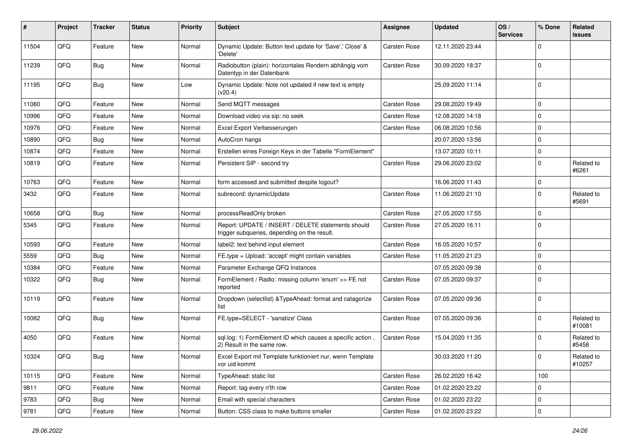| #     | Project | <b>Tracker</b> | <b>Status</b> | <b>Priority</b> | <b>Subject</b>                                                                                     | <b>Assignee</b>     | <b>Updated</b>   | OS/<br><b>Services</b> | % Done       | Related<br>issues    |
|-------|---------|----------------|---------------|-----------------|----------------------------------------------------------------------------------------------------|---------------------|------------------|------------------------|--------------|----------------------|
| 11504 | QFQ     | Feature        | <b>New</b>    | Normal          | Dynamic Update: Button text update for 'Save',' Close' &<br>'Delete'                               | <b>Carsten Rose</b> | 12.11.2020 23:44 |                        | $\Omega$     |                      |
| 11239 | QFQ     | <b>Bug</b>     | New           | Normal          | Radiobutton (plain): horizontales Rendern abhängig vom<br>Datentyp in der Datenbank                | <b>Carsten Rose</b> | 30.09.2020 18:37 |                        | $\Omega$     |                      |
| 11195 | QFQ     | Bug            | <b>New</b>    | Low             | Dynamic Update: Note not updated if new text is empty<br>(v20.4)                                   |                     | 25.09.2020 11:14 |                        | $\Omega$     |                      |
| 11080 | QFQ     | Feature        | <b>New</b>    | Normal          | Send MQTT messages                                                                                 | <b>Carsten Rose</b> | 29.08.2020 19:49 |                        | $\mathbf 0$  |                      |
| 10996 | QFQ     | Feature        | New           | Normal          | Download video via sip: no seek                                                                    | <b>Carsten Rose</b> | 12.08.2020 14:18 |                        | $\Omega$     |                      |
| 10976 | QFQ     | Feature        | New           | Normal          | Excel Export Verbesserungen                                                                        | <b>Carsten Rose</b> | 06.08.2020 10:56 |                        | $\mathbf 0$  |                      |
| 10890 | QFQ     | <b>Bug</b>     | <b>New</b>    | Normal          | AutoCron hangs                                                                                     |                     | 20.07.2020 13:56 |                        | $\mathbf{0}$ |                      |
| 10874 | QFQ     | Feature        | New           | Normal          | Erstellen eines Foreign Keys in der Tabelle "FormElement"                                          |                     | 13.07.2020 10:11 |                        | $\mathbf 0$  |                      |
| 10819 | QFQ     | Feature        | New           | Normal          | Persistent SIP - second try                                                                        | <b>Carsten Rose</b> | 29.06.2020 23:02 |                        | $\Omega$     | Related to<br>#6261  |
| 10763 | QFQ     | Feature        | New           | Normal          | form accessed and submitted despite logout?                                                        |                     | 16.06.2020 11:43 |                        | $\mathbf 0$  |                      |
| 3432  | QFQ     | Feature        | <b>New</b>    | Normal          | subrecord: dynamicUpdate                                                                           | <b>Carsten Rose</b> | 11.06.2020 21:10 |                        | $\Omega$     | Related to<br>#5691  |
| 10658 | QFQ     | Bug            | <b>New</b>    | Normal          | processReadOnly broken                                                                             | <b>Carsten Rose</b> | 27.05.2020 17:55 |                        | $\mathbf 0$  |                      |
| 5345  | QFQ     | Feature        | New           | Normal          | Report: UPDATE / INSERT / DELETE statements should<br>trigger subqueries, depending on the result. | <b>Carsten Rose</b> | 27.05.2020 16:11 |                        | $\Omega$     |                      |
| 10593 | QFQ     | Feature        | <b>New</b>    | Normal          | label2: text behind input element                                                                  | <b>Carsten Rose</b> | 16.05.2020 10:57 |                        | $\mathbf 0$  |                      |
| 5559  | QFQ     | Bug            | <b>New</b>    | Normal          | FE.type = Upload: 'accept' might contain variables                                                 | <b>Carsten Rose</b> | 11.05.2020 21:23 |                        | $\Omega$     |                      |
| 10384 | QFQ     | Feature        | New           | Normal          | Parameter Exchange QFQ Instances                                                                   |                     | 07.05.2020 09:38 |                        | $\mathbf 0$  |                      |
| 10322 | QFQ     | Bug            | <b>New</b>    | Normal          | FormElement / Radio: missing column 'enum' >> FE not<br>reported                                   | <b>Carsten Rose</b> | 07.05.2020 09:37 |                        | $\Omega$     |                      |
| 10119 | QFQ     | Feature        | New           | Normal          | Dropdown (selectlist) & TypeAhead: format and catagorize<br>list                                   | <b>Carsten Rose</b> | 07.05.2020 09:36 |                        | l 0          |                      |
| 10082 | QFQ     | <b>Bug</b>     | New           | Normal          | FE.type=SELECT - 'sanatize' Class                                                                  | <b>Carsten Rose</b> | 07.05.2020 09:36 |                        | $\mathbf{0}$ | Related to<br>#10081 |
| 4050  | QFQ     | Feature        | <b>New</b>    | Normal          | sql.log: 1) FormElement ID which causes a specific action,<br>2) Result in the same row.           | Carsten Rose        | 15.04.2020 11:35 |                        | $\Omega$     | Related to<br>#5458  |
| 10324 | QFQ     | <b>Bug</b>     | New           | Normal          | Excel Export mit Template funktioniert nur, wenn Template<br>vor uid kommt                         |                     | 30.03.2020 11:20 |                        | $\mathbf 0$  | Related to<br>#10257 |
| 10115 | QFQ     | Feature        | New           | Normal          | TypeAhead: static list                                                                             | Carsten Rose        | 26.02.2020 16:42 |                        | 100          |                      |
| 9811  | QFQ     | Feature        | New           | Normal          | Report: tag every n'th row                                                                         | <b>Carsten Rose</b> | 01.02.2020 23:22 |                        | 0            |                      |
| 9783  | QFQ     | <b>Bug</b>     | New           | Normal          | Email with special characters                                                                      | Carsten Rose        | 01.02.2020 23:22 |                        | $\mathbf 0$  |                      |
| 9781  | QFQ     | Feature        | New           | Normal          | Button: CSS class to make buttons smaller                                                          | Carsten Rose        | 01.02.2020 23:22 |                        | $\mathbf 0$  |                      |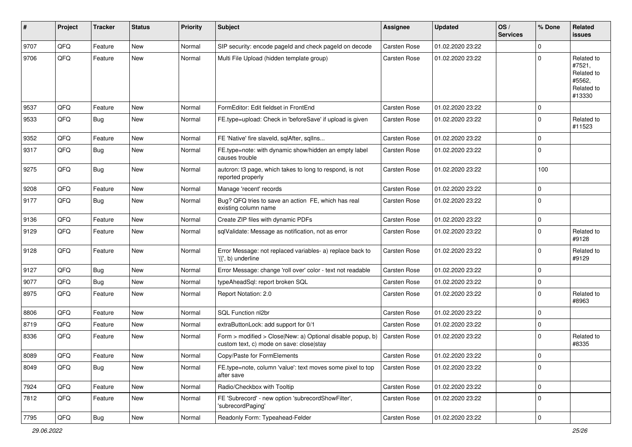| #    | Project | <b>Tracker</b> | <b>Status</b> | <b>Priority</b> | Subject                                                                                                | <b>Assignee</b>     | <b>Updated</b>   | OS/<br><b>Services</b> | % Done      | Related<br>issues                                                    |
|------|---------|----------------|---------------|-----------------|--------------------------------------------------------------------------------------------------------|---------------------|------------------|------------------------|-------------|----------------------------------------------------------------------|
| 9707 | QFQ     | Feature        | New           | Normal          | SIP security: encode pageId and check pageId on decode                                                 | Carsten Rose        | 01.02.2020 23:22 |                        | $\mathbf 0$ |                                                                      |
| 9706 | QFQ     | Feature        | <b>New</b>    | Normal          | Multi File Upload (hidden template group)                                                              | Carsten Rose        | 01.02.2020 23:22 |                        | 0           | Related to<br>#7521,<br>Related to<br>#5562.<br>Related to<br>#13330 |
| 9537 | QFQ     | Feature        | New           | Normal          | FormEditor: Edit fieldset in FrontEnd                                                                  | Carsten Rose        | 01.02.2020 23:22 |                        | 0           |                                                                      |
| 9533 | QFQ     | <b>Bug</b>     | New           | Normal          | FE.type=upload: Check in 'beforeSave' if upload is given                                               | <b>Carsten Rose</b> | 01.02.2020 23:22 |                        | $\mathbf 0$ | Related to<br>#11523                                                 |
| 9352 | QFQ     | Feature        | New           | Normal          | FE 'Native' fire slaveld, sqlAfter, sqlIns                                                             | Carsten Rose        | 01.02.2020 23:22 |                        | $\mathbf 0$ |                                                                      |
| 9317 | QFQ     | <b>Bug</b>     | New           | Normal          | FE.type=note: with dynamic show/hidden an empty label<br>causes trouble                                | Carsten Rose        | 01.02.2020 23:22 |                        | $\mathbf 0$ |                                                                      |
| 9275 | QFQ     | Bug            | New           | Normal          | autcron: t3 page, which takes to long to respond, is not<br>reported properly                          | Carsten Rose        | 01.02.2020 23:22 |                        | 100         |                                                                      |
| 9208 | QFQ     | Feature        | New           | Normal          | Manage 'recent' records                                                                                | Carsten Rose        | 01.02.2020 23:22 |                        | $\mathbf 0$ |                                                                      |
| 9177 | QFQ     | <b>Bug</b>     | New           | Normal          | Bug? QFQ tries to save an action FE, which has real<br>existing column name                            | Carsten Rose        | 01.02.2020 23:22 |                        | $\mathbf 0$ |                                                                      |
| 9136 | QFQ     | Feature        | New           | Normal          | Create ZIP files with dynamic PDFs                                                                     | Carsten Rose        | 01.02.2020 23:22 |                        | 0           |                                                                      |
| 9129 | QFQ     | Feature        | New           | Normal          | sqlValidate: Message as notification, not as error                                                     | <b>Carsten Rose</b> | 01.02.2020 23:22 |                        | $\mathbf 0$ | Related to<br>#9128                                                  |
| 9128 | QFQ     | Feature        | New           | Normal          | Error Message: not replaced variables- a) replace back to<br>'{{', b) underline                        | Carsten Rose        | 01.02.2020 23:22 |                        | $\mathbf 0$ | Related to<br>#9129                                                  |
| 9127 | QFQ     | <b>Bug</b>     | New           | Normal          | Error Message: change 'roll over' color - text not readable                                            | Carsten Rose        | 01.02.2020 23:22 |                        | $\mathbf 0$ |                                                                      |
| 9077 | QFQ     | <b>Bug</b>     | New           | Normal          | typeAheadSql: report broken SQL                                                                        | Carsten Rose        | 01.02.2020 23:22 |                        | $\mathbf 0$ |                                                                      |
| 8975 | QFQ     | Feature        | New           | Normal          | Report Notation: 2.0                                                                                   | Carsten Rose        | 01.02.2020 23:22 |                        | $\mathbf 0$ | Related to<br>#8963                                                  |
| 8806 | QFQ     | Feature        | New           | Normal          | SQL Function nl2br                                                                                     | Carsten Rose        | 01.02.2020 23:22 |                        | $\mathbf 0$ |                                                                      |
| 8719 | QFQ     | Feature        | New           | Normal          | extraButtonLock: add support for 0/1                                                                   | Carsten Rose        | 01.02.2020 23:22 |                        | 0           |                                                                      |
| 8336 | QFQ     | Feature        | New           | Normal          | Form > modified > Close New: a) Optional disable popup, b)<br>custom text, c) mode on save: close stay | Carsten Rose        | 01.02.2020 23:22 |                        | $\mathbf 0$ | Related to<br>#8335                                                  |
| 8089 | QFQ     | Feature        | New           | Normal          | Copy/Paste for FormElements                                                                            | Carsten Rose        | 01.02.2020 23:22 |                        | $\mathbf 0$ |                                                                      |
| 8049 | QFQ     | <b>Bug</b>     | New           | Normal          | FE.type=note, column 'value': text moves some pixel to top<br>after save                               | Carsten Rose        | 01.02.2020 23:22 |                        | $\mathbf 0$ |                                                                      |
| 7924 | QFQ     | Feature        | New           | Normal          | Radio/Checkbox with Tooltip                                                                            | Carsten Rose        | 01.02.2020 23:22 |                        | $\mathbf 0$ |                                                                      |
| 7812 | QFQ     | Feature        | New           | Normal          | FE 'Subrecord' - new option 'subrecordShowFilter',<br>'subrecordPaging'                                | Carsten Rose        | 01.02.2020 23:22 |                        | $\mathbf 0$ |                                                                      |
| 7795 | QFQ     | Bug            | New           | Normal          | Readonly Form: Typeahead-Felder                                                                        | Carsten Rose        | 01.02.2020 23:22 |                        | $\pmb{0}$   |                                                                      |